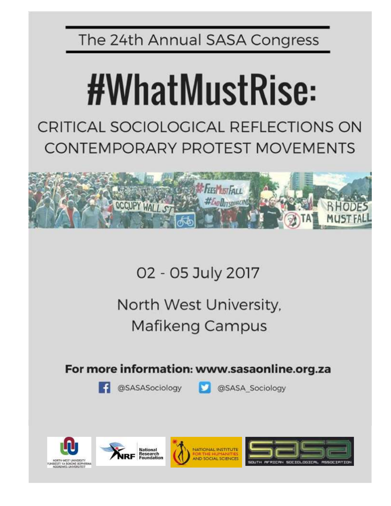The 24th Annual SASA Congress

# #WhatMustRise:

CRITICAL SOCIOLOGICAL REFLECTIONS ON **CONTEMPORARY PROTEST MOVEMENTS** 



02 - 05 July 2017

North West University, **Mafikeng Campus** 

For more information: www.sasaonline.org.za

**SASASociology** 



@SASA Sociology







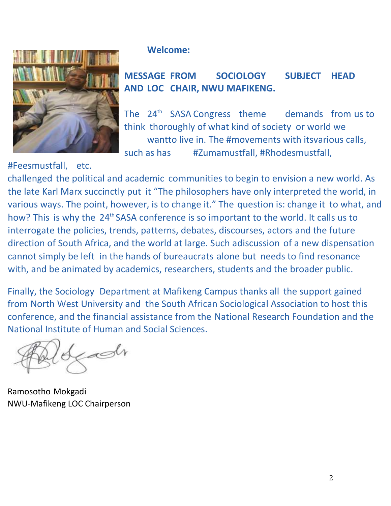

#Feesmustfall, etc.

## **Welcome:**

## **MESSAGE FROM SOCIOLOGY SUBJECT HEAD AND LOC CHAIR, NWU MAFIKENG.**

The  $24<sup>th</sup>$  SASA Congress theme demands from us to think thoroughly of what kind of society or world we wantto live in. The #movements with itsvarious calls, such as has #Zumamustfall, #Rhodesmustfall,

challenged the political and academic communities to begin to envision a new world. As the late Karl Marx succinctly put it "The philosophers have only interpreted the world, in various ways. The point, however, is to change it." The question is: change it to what, and how? This is why the 24<sup>th</sup> SASA conference is so important to the world. It calls us to interrogate the policies, trends, patterns, debates, discourses, actors and the future direction of South Africa, and the world at large. Such adiscussion of a new dispensation cannot simply be left in the hands of bureaucrats alone but needs to find resonance with, and be animated by academics, researchers, students and the broader public.

Finally, the Sociology Department at Mafikeng Campus thanks all the support gained from North West University and the South African Sociological Association to host this conference, and the financial assistance from the National Research Foundation and the National Institute of Human and Social Sciences.

zaSlr

Ramosotho Mokgadi NWU-Mafikeng LOC Chairperson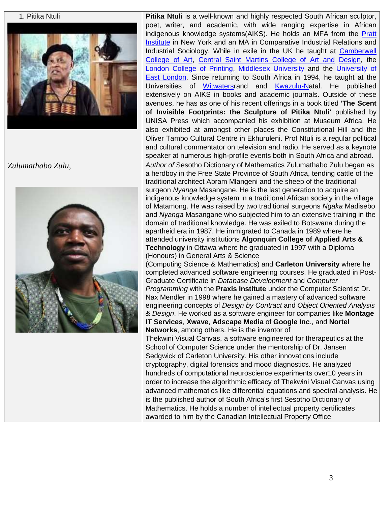



1. Pitika Ntuli **Pitika Ntuli** is a well-known and highly respected South African sculptor, poet, writer, and academic, with wide ranging expertise in African indigenous knowledge systems(AIKS). He holds an MFA from the Pratt Institute in New York and an MA in Comparative Industrial Relations and Industrial Sociology. While in exile in the UK he taught at Camberwell College of Art, Central Saint Martins College of Art and Design, the London College of Printing, Middlesex University and the University of East London. Since returning to South Africa in 1994, he taught at the Universities of Witwatersrand and Kwazulu-Natal. He published extensively on AIKS in books and academic journals. Outside of these avenues, he has as one of his recent offerings in a book titled **'The Scent of Invisible Footprints: the Sculpture of Pitika Ntuli'** published by UNISA Press which accompanied his exhibition at Museum Africa. He also exhibited at amongst other places the Constitutional Hill and the Oliver Tambo Cultural Centre in Ekhuruleni. Prof Ntuli is a regular political and cultural commentator on television and radio. He served as a keynote speaker at numerous high-profile events both in South Africa and abroad. *Zulumathabo Zulu, Author of* Sesotho Dictionary of Mathematics Zulumathabo Zulu began as a herdboy in the Free State Province of South Africa, tending cattle of the traditional architect Abram Mlangeni and the sheep of the traditional surgeon *Nyanga* Masangane. He is the last generation to acquire an indigenous knowledge system in a traditional African society in the village of Matamong. He was raised by two traditional surgeons *Ngaka* Madisebo and *Nyanga* Masangane who subjected him to an extensive training in the domain of traditional knowledge. He was exiled to Botswana during the apartheid era in 1987. He immigrated to Canada in 1989 where he attended university institutions **Algonquin College of Applied Arts & Technology** in Ottawa where he graduated in 1997 with a Diploma (Honours) in General Arts & Science (Computing Science & Mathematics) and **Carleton University** where he completed advanced software engineering courses. He graduated in Post-Graduate Certificate in *Database Development* and *Computer Programming* with the **Praxis Institute** under the Computer Scientist Dr. Nax Mendler in 1998 where he gained a mastery of advanced software engineering concepts of *Design by Contract* and *Object Oriented Analysis & Design*. He worked as a software engineer for companies like **Montage IT Services**, **Xwave**, **Adscape Media** of **Google Inc**., and **Nortel Networks**, among others. He is the inventor of Thekwini Visual Canvas, a software engineered for therapeutics at the School of Computer Science under the mentorship of Dr. Jansen Sedgwick of Carleton University. His other innovations include cryptography, digital forensics and mood diagnostics. He analyzed hundreds of computational neuroscience experiments over10 years in order to increase the algorithmic efficacy of Thekwini Visual Canvas using advanced mathematics like differential equations and spectral analysis. He is the published author of South Africa's first Sesotho Dictionary of Mathematics. He holds a number of intellectual property certificates awarded to him by the Canadian Intellectual Property Office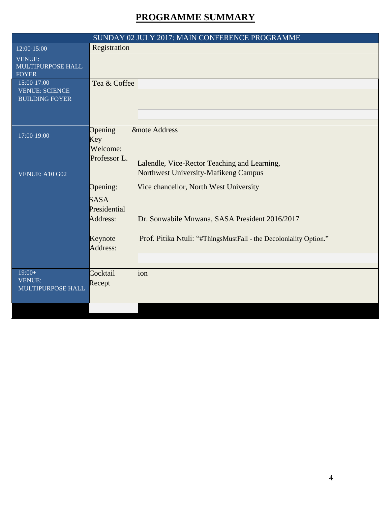# **PROGRAMME SUMMARY**

| Registration<br>12:00-15:00<br><b>VENUE:</b>                                                                                                                                                                                                |  |
|---------------------------------------------------------------------------------------------------------------------------------------------------------------------------------------------------------------------------------------------|--|
| MULTIPURPOSE HALL<br><b>FOYER</b>                                                                                                                                                                                                           |  |
| 15:00-17:00<br>Tea & Coffee<br><b>VENUE: SCIENCE</b><br><b>BUILDING FOYER</b>                                                                                                                                                               |  |
| Opening<br><b>&amp;note Address</b><br>17:00-19:00<br>Key<br>Welcome:<br>Professor L.<br>Lalendle, Vice-Rector Teaching and Learning,<br>Northwest University-Mafikeng Campus<br><b>VENUE: A10 G02</b>                                      |  |
| Opening:<br>Vice chancellor, North West University<br><b>SASA</b><br>Presidential<br>Address:<br>Dr. Sonwabile Mnwana, SASA President 2016/2017<br>Prof. Pitika Ntuli: "#ThingsMustFall - the Decoloniality Option."<br>Keynote<br>Address: |  |
| $19:00+$<br>Cocktail<br>ion<br><b>VENUE:</b><br>Recept<br>MULTIPURPOSE HALL                                                                                                                                                                 |  |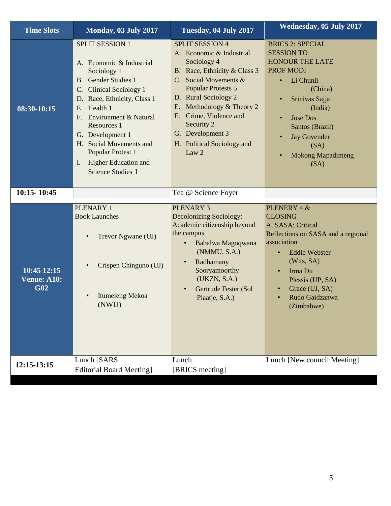| <b>Time Slots</b>                 | Monday, 03 July 2017                                                                                                                                                                                                                                                                                                                                                                          | Tuesday, 04 July 2017                                                                                                                                                                                                                                                                                                 | <b>Wednesday, 05 July 2017</b>                                                                                                                                                                                                                                                                        |
|-----------------------------------|-----------------------------------------------------------------------------------------------------------------------------------------------------------------------------------------------------------------------------------------------------------------------------------------------------------------------------------------------------------------------------------------------|-----------------------------------------------------------------------------------------------------------------------------------------------------------------------------------------------------------------------------------------------------------------------------------------------------------------------|-------------------------------------------------------------------------------------------------------------------------------------------------------------------------------------------------------------------------------------------------------------------------------------------------------|
| 08:30-10:15                       | <b>SPLIT SESSION 1</b><br>A. Economic & Industrial<br>Sociology 1<br><b>B.</b> Gender Studies 1<br><b>Clinical Sociology 1</b><br>C.<br>D. Race, Ethnicity, Class 1<br>Health 1<br>E.<br>Environment & Natural<br>$F_{\cdot}$<br>Resources 1<br>G. Development 1<br>H. Social Movements and<br>Popular Protest 1<br><b>Higher Education and</b><br>$\mathbf{I}$ .<br><b>Science Studies 1</b> | <b>SPLIT SESSION 4</b><br>A. Economic & Industrial<br>Sociology 4<br>B. Race, Ethnicity & Class 3<br>C. Social Movements &<br><b>Popular Protests 5</b><br>D. Rural Sociology 2<br>Methodology & Theory 2<br>E.<br>Crime, Violence and<br>F.<br>Security 2<br>G. Development 3<br>H. Political Sociology and<br>Law 2 | <b>BRICS 2: SPECIAL</b><br><b>SESSION TO</b><br><b>HONOUR THE LATE</b><br>PROF MODI<br>Li Chunli<br>$\bullet$<br>(China)<br>Srinivas Sajja<br>$\bullet$<br>(India)<br><b>Jose Dos</b><br>$\bullet$<br>Santos (Brazil)<br><b>Jay Govender</b><br>(SA)<br><b>Mokong Mapadimeng</b><br>$\bullet$<br>(SA) |
| 10:15-10:45                       |                                                                                                                                                                                                                                                                                                                                                                                               | Tea @ Science Foyer                                                                                                                                                                                                                                                                                                   |                                                                                                                                                                                                                                                                                                       |
| 10:45 12:15<br>Venue: A10:<br>G02 | PLENARY 1<br><b>Book Launches</b><br>Trevor Ngwane (UJ)<br>Crispen Chinguno (UJ)<br>Itumeleng Mekoa<br>(NWU)                                                                                                                                                                                                                                                                                  | <b>PLENARY 3</b><br>Decolonizing Sociology:<br>Academic citizenship beyond<br>the campus<br>Babalwa Magoqwana<br>$\bullet$<br>(NMMU, S.A.)<br>Radhamany<br>Sooryamoorthy<br>(UKZN, S.A.)<br>Gertrude Fester (Sol<br>Plaatje, S.A.)                                                                                    | PLENERY 4 &<br><b>CLOSING</b><br>A. SASA: Critical<br>Reflections on SASA and a regional<br>association<br><b>Eddie Webster</b><br>(Wits, SA)<br>Irma Du<br>Plessis (UP, SA)<br>Grace (UJ, SA)<br>Rudo Gaidzanwa<br>(Zimbabwe)                                                                        |
| 12:15-13:15                       | Lunch [SARS<br><b>Editorial Board Meeting</b> ]                                                                                                                                                                                                                                                                                                                                               | Lunch<br>[BRICS meeting]                                                                                                                                                                                                                                                                                              | Lunch [New council Meeting]                                                                                                                                                                                                                                                                           |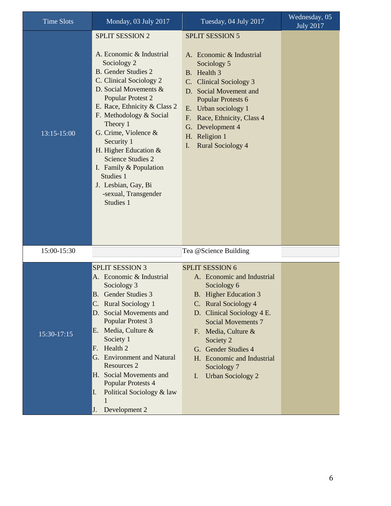| <b>Time Slots</b> | Monday, 03 July 2017                                                                                                                                                                                                                                                                                                                                                                                                                                   | Tuesday, 04 July 2017                                                                                                                                                                                                                                                                                                                | Wednesday, 05<br><b>July 2017</b> |
|-------------------|--------------------------------------------------------------------------------------------------------------------------------------------------------------------------------------------------------------------------------------------------------------------------------------------------------------------------------------------------------------------------------------------------------------------------------------------------------|--------------------------------------------------------------------------------------------------------------------------------------------------------------------------------------------------------------------------------------------------------------------------------------------------------------------------------------|-----------------------------------|
| 13:15-15:00       | <b>SPLIT SESSION 2</b><br>A. Economic & Industrial<br>Sociology 2<br><b>B.</b> Gender Studies 2<br>C. Clinical Sociology 2<br>D. Social Movements &<br><b>Popular Protest 2</b><br>E. Race, Ethnicity & Class 2<br>F. Methodology & Social<br>Theory 1<br>G. Crime, Violence &<br>Security 1<br>H. Higher Education &<br><b>Science Studies 2</b><br>I. Family $&$ Population<br>Studies 1<br>J. Lesbian, Gay, Bi<br>-sexual, Transgender<br>Studies 1 | <b>SPLIT SESSION 5</b><br>A. Economic & Industrial<br>Sociology 5<br>B. Health 3<br>C. Clinical Sociology 3<br>D. Social Movement and<br>Popular Protests 6<br>E. Urban sociology 1<br>Race, Ethnicity, Class 4<br>F.<br>Development 4<br>G.<br>H. Religion 1<br><b>Rural Sociology 4</b><br>I.                                      |                                   |
| 15:00-15:30       |                                                                                                                                                                                                                                                                                                                                                                                                                                                        | Tea @Science Building                                                                                                                                                                                                                                                                                                                |                                   |
| 15:30-17:15       | <b>SPLIT SESSION 3</b><br>A. Economic & Industrial<br>Sociology 3<br><b>B.</b> Gender Studies 3<br><b>Rural Sociology 1</b><br>C.<br>Social Movements and<br>D.<br>Popular Protest 3<br>E. Media, Culture $&$<br>Society 1<br>Health 2<br>F.<br>G. Environment and Natural<br>Resources 2<br>H. Social Movements and<br><b>Popular Protests 4</b><br>Political Sociology & law<br>I.<br>1<br>Development 2<br>J.                                       | <b>SPLIT SESSION 6</b><br>A. Economic and Industrial<br>Sociology 6<br>B. Higher Education 3<br>C. Rural Sociology 4<br>D. Clinical Sociology 4 E.<br><b>Social Movements 7</b><br>F. Media, Culture &<br>Society <sub>2</sub><br>G. Gender Studies 4<br>H. Economic and Industrial<br>Sociology 7<br><b>Urban Sociology 2</b><br>I. |                                   |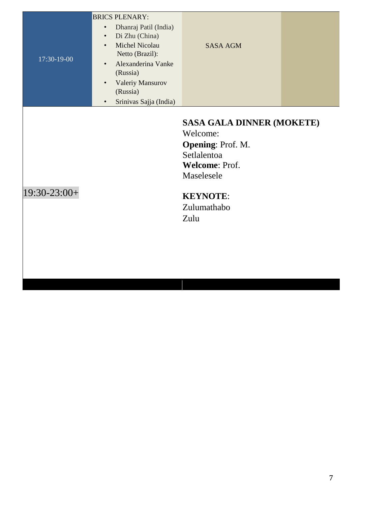| 17:30-19-00  | <b>BRICS PLENARY:</b><br>Dhanraj Patil (India)<br>$\bullet$<br>Di Zhu (China)<br>$\bullet$<br><b>Michel Nicolau</b><br>$\bullet$<br>Netto (Brazil):<br>Alexanderina Vanke<br>$\bullet$<br>(Russia)<br>Valeriy Mansurov<br>$\bullet$<br>(Russia)<br>Srinivas Sajja (India)<br>$\bullet$ | <b>SASA AGM</b>                                                                                                                                                   |  |
|--------------|----------------------------------------------------------------------------------------------------------------------------------------------------------------------------------------------------------------------------------------------------------------------------------------|-------------------------------------------------------------------------------------------------------------------------------------------------------------------|--|
| 19:30-23:00+ |                                                                                                                                                                                                                                                                                        | <b>SASA GALA DINNER (MOKETE)</b><br>Welcome:<br><b>Opening: Prof. M.</b><br>Setlalentoa<br>Welcome: Prof.<br>Maselesele<br><b>KEYNOTE:</b><br>Zulumathabo<br>Zulu |  |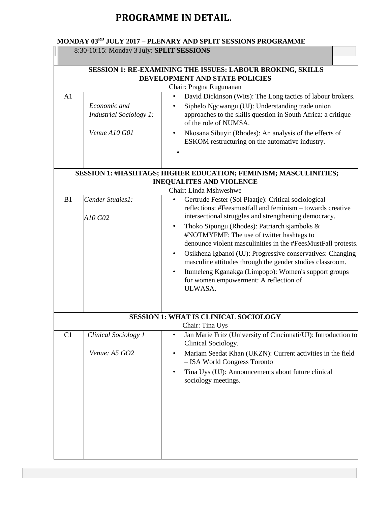## **PROGRAMME IN DETAIL.**

## **MONDAY 03RD JULY 2017 – PLENARY AND SPLIT SESSIONS PROGRAMME**

|                | 8:30-10:15: Monday 3 July: SPLIT SESSIONS |                                                                                                                                      |
|----------------|-------------------------------------------|--------------------------------------------------------------------------------------------------------------------------------------|
|                |                                           | SESSION 1: RE-EXAMINING THE ISSUES: LABOUR BROKING, SKILLS                                                                           |
|                |                                           | DEVELOPMENT AND STATE POLICIES                                                                                                       |
| A <sub>1</sub> |                                           | Chair: Pragna Rugunanan<br>David Dickinson (Wits): The Long tactics of labour brokers.<br>$\bullet$                                  |
|                | Economic and                              | Siphelo Ngcwangu (UJ): Understanding trade union                                                                                     |
|                | <b>Industrial Sociology 1:</b>            | approaches to the skills question in South Africa: a critique<br>of the role of NUMSA.                                               |
|                | Venue A10 G01                             | Nkosana Sibuyi: (Rhodes): An analysis of the effects of<br>ESKOM restructuring on the automative industry.                           |
|                |                                           |                                                                                                                                      |
|                |                                           | <b>SESSION 1: #HASHTAGS; HIGHER EDUCATION; FEMINISM; MASCULINITIES;</b>                                                              |
|                |                                           | <b>INEQUALITES AND VIOLENCE</b><br>Chair: Linda Mshweshwe                                                                            |
| B <sub>1</sub> | Gender Studies1:                          | Gertrude Fester (Sol Plaatje): Critical sociological<br>٠                                                                            |
|                | A10 G02                                   | reflections: #Feesmustfall and feminism - towards creative<br>intersectional struggles and strengthening democracy.                  |
|                |                                           | Thoko Sipungu (Rhodes): Patriarch sjamboks &<br>$\bullet$                                                                            |
|                |                                           | #NOTMYFMF: The use of twitter hashtags to                                                                                            |
|                |                                           | denounce violent masculinities in the #FeesMustFall protests.                                                                        |
|                |                                           | Osikhena Igbanoi (UJ): Progressive conservatives: Changing<br>$\bullet$<br>masculine attitudes through the gender studies classroom. |
|                |                                           | Itumeleng Kganakga (Limpopo): Women's support groups<br>$\bullet$<br>for women empowerment: A reflection of<br>ULWASA.               |
|                |                                           |                                                                                                                                      |
|                |                                           | <b>SESSION 1: WHAT IS CLINICAL SOCIOLOGY</b><br>Chair: Tina Uys                                                                      |
| C1             | Clinical Sociology 1                      | Jan Marie Fritz (University of Cincinnati/UJ): Introduction to<br>٠<br>Clinical Sociology.                                           |
|                | Venue: A5 GO2                             | Mariam Seedat Khan (UKZN): Current activities in the field<br>$\bullet$<br>- ISA World Congress Toronto                              |
|                |                                           | Tina Uys (UJ): Announcements about future clinical<br>$\bullet$<br>sociology meetings.                                               |
|                |                                           |                                                                                                                                      |
|                |                                           |                                                                                                                                      |
|                |                                           |                                                                                                                                      |
|                |                                           |                                                                                                                                      |
|                |                                           |                                                                                                                                      |
|                |                                           |                                                                                                                                      |
|                |                                           |                                                                                                                                      |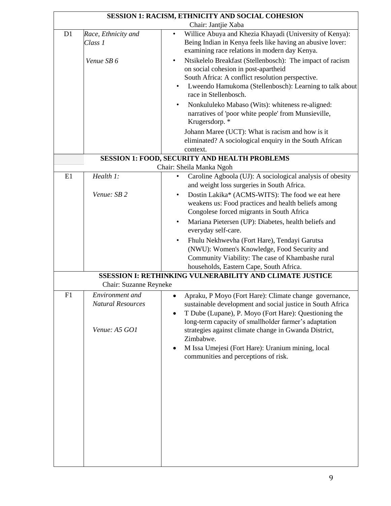|    |                                                              | SESSION 1: RACISM, ETHNICITY AND SOCIAL COHESION                                                                                                                                                                                                                                                                                       |
|----|--------------------------------------------------------------|----------------------------------------------------------------------------------------------------------------------------------------------------------------------------------------------------------------------------------------------------------------------------------------------------------------------------------------|
|    |                                                              | Chair: Jantjie Xaba                                                                                                                                                                                                                                                                                                                    |
| D1 | Race, Ethnicity and<br>Class 1                               | Willice Abuya and Khezia Khayadi (University of Kenya):<br>$\bullet$<br>Being Indian in Kenya feels like having an abusive lover:<br>examining race relations in modern day Kenya.                                                                                                                                                     |
|    | Venue SB 6                                                   | Ntsikelelo Breakfast (Stellenbosch): The impact of racism<br>$\bullet$<br>on social cohesion in post-apartheid<br>South Africa: A conflict resolution perspective.<br>Lweendo Hamukoma (Stellenbosch): Learning to talk about<br>race in Stellenbosch.                                                                                 |
|    |                                                              | Nonkululeko Mabaso (Wits): whiteness re-aligned:<br>narratives of 'poor white people' from Munsieville,<br>Krugersdorp. *<br>Johann Maree (UCT): What is racism and how is it                                                                                                                                                          |
|    |                                                              | eliminated? A sociological enquiry in the South African<br>context.                                                                                                                                                                                                                                                                    |
|    |                                                              | <b>SESSION 1: FOOD, SECURITY AND HEALTH PROBLEMS</b>                                                                                                                                                                                                                                                                                   |
|    |                                                              | Chair: Sheila Manka Ngoh                                                                                                                                                                                                                                                                                                               |
| E1 | Health 1:                                                    | Caroline Agboola (UJ): A sociological analysis of obesity<br>$\bullet$<br>and weight loss surgeries in South Africa.                                                                                                                                                                                                                   |
|    | Venue: SB 2                                                  | Dostin Lakika* (ACMS-WITS): The food we eat here<br>$\bullet$<br>weakens us: Food practices and health beliefs among<br>Congolese forced migrants in South Africa                                                                                                                                                                      |
|    |                                                              | Mariana Pietersen (UP): Diabetes, health beliefs and<br>$\bullet$<br>everyday self-care.                                                                                                                                                                                                                                               |
|    |                                                              | Fhulu Nekhwevha (Fort Hare), Tendayi Garutsa<br>$\bullet$<br>(NWU): Women's Knowledge, Food Security and<br>Community Viability: The case of Khambashe rural<br>households, Eastern Cape, South Africa.                                                                                                                                |
|    |                                                              | SSESSION I: RETHINKING VULNERABILITY AND CLIMATE JUSTICE                                                                                                                                                                                                                                                                               |
|    | Chair: Suzanne Reyneke                                       |                                                                                                                                                                                                                                                                                                                                        |
| F1 | Environment and<br><b>Natural Resources</b><br>Venue: A5 GO1 | Apraku, P Moyo (Fort Hare): Climate change governance,<br>$\bullet$<br>sustainable development and social justice in South Africa<br>T Dube (Lupane), P. Moyo (Fort Hare): Questioning the<br>$\bullet$<br>long-term capacity of smallholder farmer's adaptation<br>strategies against climate change in Gwanda District,<br>Zimbabwe. |
|    |                                                              | M Issa Umejesi (Fort Hare): Uranium mining, local<br>$\bullet$<br>communities and perceptions of risk.                                                                                                                                                                                                                                 |
|    |                                                              |                                                                                                                                                                                                                                                                                                                                        |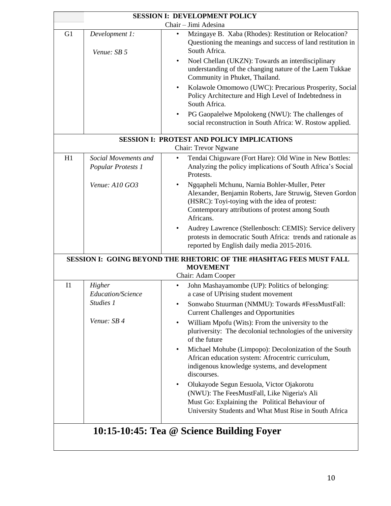| <b>SESSION I: DEVELOPMENT POLICY</b> |                                                         |                                                                                                                                                                                                                                                                                                                                                                                                                                                                                                                                                                                                                                                                                                                                                               |  |  |
|--------------------------------------|---------------------------------------------------------|---------------------------------------------------------------------------------------------------------------------------------------------------------------------------------------------------------------------------------------------------------------------------------------------------------------------------------------------------------------------------------------------------------------------------------------------------------------------------------------------------------------------------------------------------------------------------------------------------------------------------------------------------------------------------------------------------------------------------------------------------------------|--|--|
| Chair - Jimi Adesina                 |                                                         |                                                                                                                                                                                                                                                                                                                                                                                                                                                                                                                                                                                                                                                                                                                                                               |  |  |
| G <sub>1</sub>                       | Development 1:<br>Venue: SB 5                           | Mzingaye B. Xaba (Rhodes): Restitution or Relocation?<br>$\bullet$<br>Questioning the meanings and success of land restitution in<br>South Africa.                                                                                                                                                                                                                                                                                                                                                                                                                                                                                                                                                                                                            |  |  |
|                                      |                                                         | Noel Chellan (UKZN): Towards an interdisciplinary<br>$\bullet$<br>understanding of the changing nature of the Laem Tukkae<br>Community in Phuket, Thailand.<br>Kolawole Omomowo (UWC): Precarious Prosperity, Social<br>$\bullet$<br>Policy Architecture and High Level of Indebtedness in                                                                                                                                                                                                                                                                                                                                                                                                                                                                    |  |  |
|                                      |                                                         | South Africa.<br>PG Gaopalelwe Mpolokeng (NWU): The challenges of<br>$\bullet$<br>social reconstruction in South Africa: W. Rostow applied.                                                                                                                                                                                                                                                                                                                                                                                                                                                                                                                                                                                                                   |  |  |
|                                      |                                                         | <b>SESSION I: PROTEST AND POLICY IMPLICATIONS</b><br><b>Chair: Trevor Ngwane</b>                                                                                                                                                                                                                                                                                                                                                                                                                                                                                                                                                                                                                                                                              |  |  |
| H1                                   | Social Movements and<br>Popular Protests 1              | Tendai Chiguware (Fort Hare): Old Wine in New Bottles:<br>Analyzing the policy implications of South Africa's Social<br>Protests.                                                                                                                                                                                                                                                                                                                                                                                                                                                                                                                                                                                                                             |  |  |
|                                      | Venue: A10 GO3                                          | Ngqapheli Mchunu, Narnia Bohler-Muller, Peter<br>Alexander, Benjamin Roberts, Jare Struwig, Steven Gordon<br>(HSRC): Toyi-toying with the idea of protest:<br>Contemporary attributions of protest among South<br>Africans.                                                                                                                                                                                                                                                                                                                                                                                                                                                                                                                                   |  |  |
|                                      |                                                         | Audrey Lawrence (Stellenbosch: CEMIS): Service delivery<br>$\bullet$<br>protests in democratic South Africa: trends and rationale as<br>reported by English daily media 2015-2016.                                                                                                                                                                                                                                                                                                                                                                                                                                                                                                                                                                            |  |  |
|                                      |                                                         | SESSION I: GOING BEYOND THE RHETORIC OF THE #HASHTAG FEES MUST FALL<br><b>MOVEMENT</b><br>Chair: Adam Cooper                                                                                                                                                                                                                                                                                                                                                                                                                                                                                                                                                                                                                                                  |  |  |
| I <sub>1</sub>                       | Higher<br>Education/Science<br>Studies 1<br>Venue: SB 4 | John Mashayamombe (UP): Politics of belonging:<br>$\bullet$<br>a case of UPrising student movement<br>Sonwabo Stuurman (NMMU): Towards #FessMustFall:<br>٠<br><b>Current Challenges and Opportunities</b><br>William Mpofu (Wits): From the university to the<br>pluriversity: The decolonial technologies of the university<br>of the future<br>Michael Mohube (Limpopo): Decolonization of the South<br>$\bullet$<br>African education system: Afrocentric curriculum,<br>indigenous knowledge systems, and development<br>discourses.<br>Olukayode Segun Eesuola, Victor Ojakorotu<br>$\bullet$<br>(NWU): The FeesMustFall, Like Nigeria's Ali<br>Must Go: Explaining the Political Behaviour of<br>University Students and What Must Rise in South Africa |  |  |
|                                      |                                                         | 10:15-10:45: Tea @ Science Building Foyer                                                                                                                                                                                                                                                                                                                                                                                                                                                                                                                                                                                                                                                                                                                     |  |  |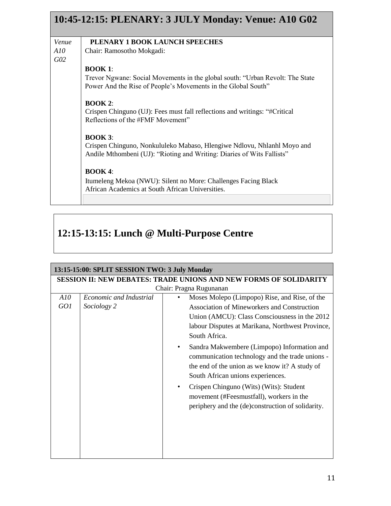|       | 10:45-12:15: PLENARY: 3 JULY Monday: Venue: A10 G02                            |
|-------|--------------------------------------------------------------------------------|
| Venue | PLENARY 1 BOOK LAUNCH SPEECHES                                                 |
| A10   | Chair: Ramosotho Mokgadi:                                                      |
| GO2   |                                                                                |
|       | <b>BOOK 1:</b>                                                                 |
|       | Trevor Ngwane: Social Movements in the global south: "Urban Revolt: The State" |
|       | Power And the Rise of People's Movements in the Global South"                  |
|       | $\overline{B}$ OOK 2:                                                          |
|       | Crispen Chinguno (UJ): Fees must fall reflections and writings: "#Critical     |
|       | Reflections of the #FMF Movement"                                              |
|       | $\overline{BOOK}$ 3:                                                           |
|       | Crispen Chinguno, Nonkululeko Mabaso, Hlengiwe Ndlovu, Nhlanhl Moyo and        |
|       | Andile Mthombeni (UJ): "Rioting and Writing: Diaries of Wits Fallists"         |
|       | <b>BOOK 4:</b>                                                                 |
|       | Itumeleng Mekoa (NWU): Silent no More: Challenges Facing Black                 |
|       | African Academics at South African Universities.                               |
|       |                                                                                |

# **12:15-13:15: Lunch @ Multi-Purpose Centre**

|     | 13:15-15:00: SPLIT SESSION TWO: 3 July Monday |                                                                          |
|-----|-----------------------------------------------|--------------------------------------------------------------------------|
|     |                                               | <b>SESSION II: NEW DEBATES: TRADE UNIONS AND NEW FORMS OF SOLIDARITY</b> |
|     |                                               | Chair: Pragna Rugunanan                                                  |
| A10 | Economic and Industrial                       | Moses Molepo (Limpopo) Rise, and Rise, of the                            |
| GO1 | Sociology 2                                   | <b>Association of Mineworkers and Construction</b>                       |
|     |                                               | Union (AMCU): Class Consciousness in the 2012                            |
|     |                                               | labour Disputes at Marikana, Northwest Province,                         |
|     |                                               | South Africa.                                                            |
|     |                                               | Sandra Makwembere (Limpopo) Information and<br>٠                         |
|     |                                               | communication technology and the trade unions -                          |
|     |                                               | the end of the union as we know it? A study of                           |
|     |                                               | South African unions experiences.                                        |
|     |                                               | Crispen Chinguno (Wits) (Wits): Student                                  |
|     |                                               | movement (#Feesmustfall), workers in the                                 |
|     |                                               | periphery and the (de)construction of solidarity.                        |
|     |                                               |                                                                          |
|     |                                               |                                                                          |
|     |                                               |                                                                          |
|     |                                               |                                                                          |
|     |                                               |                                                                          |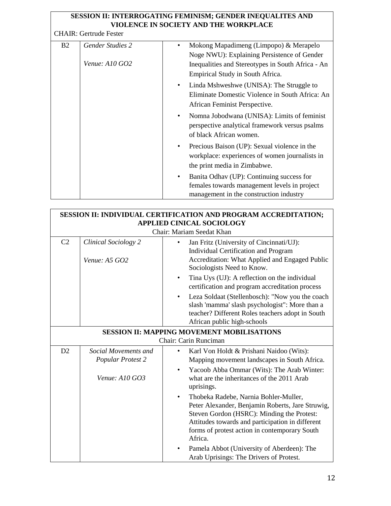#### **SESSION II: INTERROGATING FEMINISM; GENDER INEQUALITES AND VIOLENCE IN SOCIETY AND THE WORKPLACE**

CHAIR: Gertrude Fester

| B <sub>2</sub> | <b>Gender Studies 2</b> |   | Mokong Mapadimeng (Limpopo) & Merapelo<br>Noge NWU): Explaining Persistence of Gender                                                |
|----------------|-------------------------|---|--------------------------------------------------------------------------------------------------------------------------------------|
|                | Venue: $A10$ GO2        |   | Inequalities and Stereotypes in South Africa - An<br>Empirical Study in South Africa.                                                |
|                |                         | ٠ | Linda Mshweshwe (UNISA): The Struggle to<br>Eliminate Domestic Violence in South Africa: An<br>African Feminist Perspective.         |
|                |                         | ٠ | Nomna Jobodwana (UNISA): Limits of feminist<br>perspective analytical framework versus psalms<br>of black African women.             |
|                |                         | ٠ | Precious Baison (UP): Sexual violence in the<br>workplace: experiences of women journalists in<br>the print media in Zimbabwe.       |
|                |                         | ٠ | Banita Odhav (UP): Continuing success for<br>females towards management levels in project<br>management in the construction industry |

|                                                   |                                              | SESSION II: INDIVIDUAL CERTIFICATION AND PROGRAM ACCREDITATION;                                                                                                                                                                                                                                                    |
|---------------------------------------------------|----------------------------------------------|--------------------------------------------------------------------------------------------------------------------------------------------------------------------------------------------------------------------------------------------------------------------------------------------------------------------|
|                                                   |                                              | <b>APPLIED CINICAL SOCIOLOGY</b><br>Chair: Mariam Seedat Khan                                                                                                                                                                                                                                                      |
| C <sub>2</sub>                                    | <b>Clinical Sociology 2</b><br>Venue: A5 GO2 | Jan Fritz (University of Cincinnati/UJ):<br>$\bullet$<br><b>Individual Certification and Program</b><br>Accreditation: What Applied and Engaged Public<br>Sociologists Need to Know.                                                                                                                               |
|                                                   |                                              | Tina Uys (UJ): A reflection on the individual<br>$\bullet$<br>certification and program accreditation process                                                                                                                                                                                                      |
|                                                   |                                              | Leza Soldaat (Stellenbosch): "Now you the coach<br>$\bullet$<br>slash 'mamma' slash psychologist": More than a<br>teacher? Different Roles teachers adopt in South<br>African public high-schools                                                                                                                  |
| <b>SESSION II: MAPPING MOVEMENT MOBILISATIONS</b> |                                              |                                                                                                                                                                                                                                                                                                                    |
|                                                   |                                              | Chair: Carin Runciman                                                                                                                                                                                                                                                                                              |
| D2                                                | Social Movements and<br>Popular Protest 2    | Karl Von Holdt & Prishani Naidoo (Wits):<br>Mapping movement landscapes in South Africa.                                                                                                                                                                                                                           |
|                                                   | Venue: A10 GO3                               | Yacoob Abba Ommar (Wits): The Arab Winter:<br>$\bullet$<br>what are the inheritances of the 2011 Arab<br>uprisings.                                                                                                                                                                                                |
|                                                   |                                              | Thobeka Radebe, Narnia Bohler-Muller,<br>$\bullet$<br>Peter Alexander, Benjamin Roberts, Jare Struwig,<br>Steven Gordon (HSRC): Minding the Protest:<br>Attitudes towards and participation in different<br>forms of protest action in contemporary South<br>Africa.<br>Pamela Abbot (University of Aberdeen): The |
|                                                   |                                              | Arab Uprisings: The Drivers of Protest.                                                                                                                                                                                                                                                                            |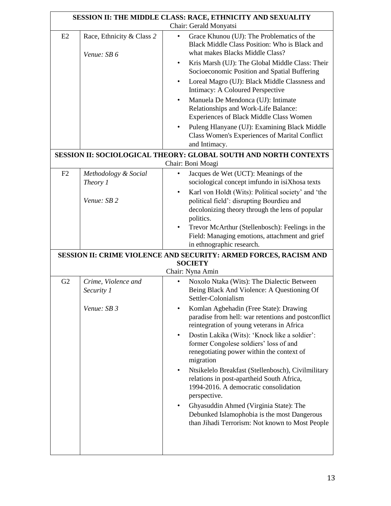|    |                                          | SESSION II: THE MIDDLE CLASS: RACE, ETHNICITY AND SEXUALITY                                                                                                                                                                                                                                                                                                                                                                                                                                                                                 |
|----|------------------------------------------|---------------------------------------------------------------------------------------------------------------------------------------------------------------------------------------------------------------------------------------------------------------------------------------------------------------------------------------------------------------------------------------------------------------------------------------------------------------------------------------------------------------------------------------------|
|    |                                          | Chair: Gerald Monyatsi                                                                                                                                                                                                                                                                                                                                                                                                                                                                                                                      |
| E2 | Race, Ethnicity & Class 2<br>Venue: SB 6 | Grace Khunou (UJ): The Problematics of the<br>٠<br>Black Middle Class Position: Who is Black and<br>what makes Blacks Middle Class?<br>Kris Marsh (UJ): The Global Middle Class: Their<br>$\bullet$<br>Socioeconomic Position and Spatial Buffering<br>Loreal Magro (UJ): Black Middle Classness and<br>$\bullet$<br>Intimacy: A Coloured Perspective<br>Manuela De Mendonca (UJ): Intimate<br>$\bullet$<br>Relationships and Work-Life Balance:<br>Experiences of Black Middle Class Women<br>Puleng Hlanyane (UJ): Examining Black Middle |
|    |                                          | Class Women's Experiences of Marital Conflict<br>and Intimacy.                                                                                                                                                                                                                                                                                                                                                                                                                                                                              |
|    |                                          | <b>SESSION II: SOCIOLOGICAL THEORY: GLOBAL SOUTH AND NORTH CONTEXTS</b>                                                                                                                                                                                                                                                                                                                                                                                                                                                                     |
|    |                                          | Chair: Boni Moagi                                                                                                                                                                                                                                                                                                                                                                                                                                                                                                                           |
| F2 | Methodology & Social<br>Theory 1         | Jacques de Wet (UCT): Meanings of the<br>$\bullet$<br>sociological concept imfundo in isiXhosa texts<br>Karl von Holdt (Wits): Political society' and 'the<br>$\bullet$                                                                                                                                                                                                                                                                                                                                                                     |
|    | Venue: SB 2                              | political field': disrupting Bourdieu and<br>decolonizing theory through the lens of popular<br>politics.<br>Trevor McArthur (Stellenbosch): Feelings in the<br>$\bullet$<br>Field: Managing emotions, attachment and grief<br>in ethnographic research.                                                                                                                                                                                                                                                                                    |
|    |                                          | SESSION II: CRIME VIOLENCE AND SECURITY: ARMED FORCES, RACISM AND                                                                                                                                                                                                                                                                                                                                                                                                                                                                           |
|    |                                          | <b>SOCIETY</b><br>Chair: Nyna Amin                                                                                                                                                                                                                                                                                                                                                                                                                                                                                                          |
|    |                                          |                                                                                                                                                                                                                                                                                                                                                                                                                                                                                                                                             |
| G2 | Crime, Violence and<br>Security 1        | Noxolo Ntaka (Wits): The Dialectic Between<br>٠<br>Being Black And Violence: A Questioning Of<br>Settler-Colonialism                                                                                                                                                                                                                                                                                                                                                                                                                        |
|    | Venue: SB 3                              | Komlan Agbehadin (Free State): Drawing<br>paradise from hell: war retentions and postconflict<br>reintegration of young veterans in Africa                                                                                                                                                                                                                                                                                                                                                                                                  |
|    |                                          | Dostin Lakika (Wits): 'Knock like a soldier':<br>$\bullet$<br>former Congolese soldiers' loss of and<br>renegotiating power within the context of<br>migration                                                                                                                                                                                                                                                                                                                                                                              |
|    |                                          | Ntsikelelo Breakfast (Stellenbosch), Civilmilitary<br>$\bullet$<br>relations in post-apartheid South Africa,<br>1994-2016. A democratic consolidation<br>perspective.                                                                                                                                                                                                                                                                                                                                                                       |
|    |                                          | Ghyasuddin Ahmed (Virginia State): The<br>Debunked Islamophobia is the most Dangerous<br>than Jihadi Terrorism: Not known to Most People                                                                                                                                                                                                                                                                                                                                                                                                    |
|    |                                          |                                                                                                                                                                                                                                                                                                                                                                                                                                                                                                                                             |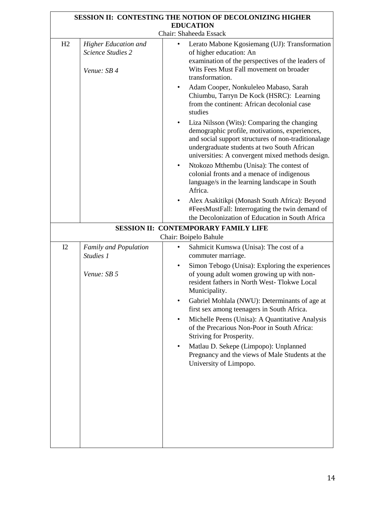| <b>SESSION II: CONTESTING THE NOTION OF DECOLONIZING HIGHER</b><br><b>EDUCATION</b> |                                                                 |                                                                                                                                                                                                                                                                                                                                              |
|-------------------------------------------------------------------------------------|-----------------------------------------------------------------|----------------------------------------------------------------------------------------------------------------------------------------------------------------------------------------------------------------------------------------------------------------------------------------------------------------------------------------------|
|                                                                                     |                                                                 | Chair: Shaheeda Essack                                                                                                                                                                                                                                                                                                                       |
| H2                                                                                  | Higher Education and<br><b>Science Studies 2</b><br>Venue: SB 4 | Lerato Mabone Kgosiemang (UJ): Transformation<br>of higher education: An<br>examination of the perspectives of the leaders of<br>Wits Fees Must Fall movement on broader<br>transformation.<br>Adam Cooper, Nonkuleleo Mabaso, Sarah<br>$\bullet$<br>Chiumbu, Tarryn De Kock (HSRC): Learning<br>from the continent: African decolonial case |
|                                                                                     |                                                                 | studies<br>Liza Nilsson (Wits): Comparing the changing<br>$\bullet$<br>demographic profile, motivations, experiences,<br>and social support structures of non-traditionalage<br>undergraduate students at two South African<br>universities: A convergent mixed methods design.                                                              |
|                                                                                     |                                                                 | Ntokozo Mthembu (Unisa): The contest of<br>$\bullet$<br>colonial fronts and a menace of indigenous<br>language/s in the learning landscape in South<br>Africa.                                                                                                                                                                               |
|                                                                                     |                                                                 | Alex Asakitikpi (Monash South Africa): Beyond<br>$\bullet$<br>#FeesMustFall: Interrogating the twin demand of<br>the Decolonization of Education in South Africa                                                                                                                                                                             |
|                                                                                     |                                                                 | <b>SESSION II: CONTEMPORARY FAMILY LIFE</b><br>Chair: Boipelo Bahule                                                                                                                                                                                                                                                                         |
| I2                                                                                  | Family and Population<br>Studies 1                              | Sahmicit Kumswa (Unisa): The cost of a<br>$\bullet$<br>commuter marriage.                                                                                                                                                                                                                                                                    |
|                                                                                     | Venue: SB 5                                                     | Simon Tebogo (Unisa): Exploring the experiences<br>$\bullet$<br>of young adult women growing up with non-<br>resident fathers in North West-Tlokwe Local<br>Municipality.                                                                                                                                                                    |
|                                                                                     |                                                                 | Gabriel Mohlala (NWU): Determinants of age at<br>first sex among teenagers in South Africa.                                                                                                                                                                                                                                                  |
|                                                                                     |                                                                 | Michelle Peens (Unisa): A Quantitative Analysis<br>of the Precarious Non-Poor in South Africa:<br>Striving for Prosperity.                                                                                                                                                                                                                   |
|                                                                                     |                                                                 | Matlau D. Sekepe (Limpopo): Unplanned<br>$\bullet$<br>Pregnancy and the views of Male Students at the<br>University of Limpopo.                                                                                                                                                                                                              |
|                                                                                     |                                                                 |                                                                                                                                                                                                                                                                                                                                              |
|                                                                                     |                                                                 |                                                                                                                                                                                                                                                                                                                                              |
|                                                                                     |                                                                 |                                                                                                                                                                                                                                                                                                                                              |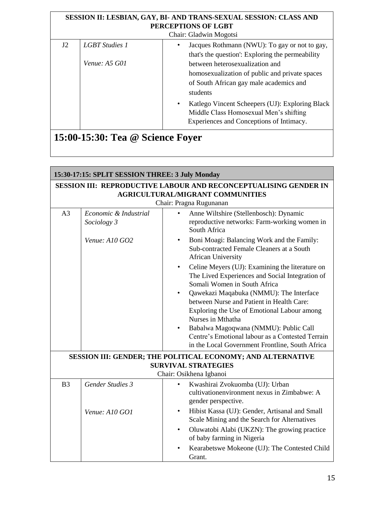| SESSION II: LESBIAN, GAY, BI- AND TRANS-SEXUAL SESSION: CLASS AND<br>PERCEPTIONS OF LGBT |                                          |                                                                                                                                                                                                                                   |
|------------------------------------------------------------------------------------------|------------------------------------------|-----------------------------------------------------------------------------------------------------------------------------------------------------------------------------------------------------------------------------------|
|                                                                                          |                                          | Chair: Gladwin Mogotsi                                                                                                                                                                                                            |
| J2                                                                                       | <b>LGBT</b> Studies 1<br>Venue: $A5$ G01 | Jacques Rothmann (NWU): To gay or not to gay,<br>that's the question': Exploring the permeability<br>between heterosexualization and<br>homosexualization of public and private spaces<br>of South African gay male academics and |
|                                                                                          |                                          | students<br>Katlego Vincent Scheepers (UJ): Exploring Black<br>$\bullet$<br>Middle Class Homosexual Men's shifting<br>Experiences and Conceptions of Intimacy.                                                                    |

| 15:00-15:30: Tea @ Science Foyer |  |
|----------------------------------|--|
|----------------------------------|--|

| 15:30-17:15: SPLIT SESSION THREE: 3 July Monday                                                                    |                                      |                                                                                                                                                 |
|--------------------------------------------------------------------------------------------------------------------|--------------------------------------|-------------------------------------------------------------------------------------------------------------------------------------------------|
| <b>SESSION III: REPRODUCTIVE LABOUR AND RECONCEPTUALISING GENDER IN</b><br><b>AGRICULTURAL/MIGRANT COMMUNITIES</b> |                                      |                                                                                                                                                 |
|                                                                                                                    |                                      | Chair: Pragna Rugunanan                                                                                                                         |
| A <sub>3</sub>                                                                                                     | Economic & Industrial<br>Sociology 3 | Anne Wiltshire (Stellenbosch): Dynamic<br>reproductive networks: Farm-working women in<br>South Africa                                          |
|                                                                                                                    | Venue: A10 GO2                       | Boni Moagi: Balancing Work and the Family:<br>$\bullet$<br>Sub-contracted Female Cleaners at a South<br><b>African University</b>               |
|                                                                                                                    |                                      | Celine Meyers (UJ): Examining the literature on<br>$\bullet$<br>The Lived Experiences and Social Integration of<br>Somali Women in South Africa |
|                                                                                                                    |                                      | Qawekazi Maqabuka (NMMU): The Interface                                                                                                         |
|                                                                                                                    |                                      | between Nurse and Patient in Health Care:                                                                                                       |
|                                                                                                                    |                                      | Exploring the Use of Emotional Labour among                                                                                                     |
|                                                                                                                    |                                      | Nurses in Mthatha                                                                                                                               |
|                                                                                                                    |                                      | Babalwa Magoqwana (NMMU): Public Call                                                                                                           |
|                                                                                                                    |                                      | Centre's Emotional labour as a Contested Terrain<br>in the Local Government Frontline, South Africa                                             |
|                                                                                                                    |                                      | <b>SESSION III: GENDER; THE POLITICAL ECONOMY; AND ALTERNATIVE</b>                                                                              |
|                                                                                                                    |                                      | <b>SURVIVAL STRATEGIES</b>                                                                                                                      |
|                                                                                                                    |                                      | Chair: Osikhena Igbanoi                                                                                                                         |
| B <sub>3</sub>                                                                                                     | <b>Gender Studies 3</b>              | Kwashirai Zvokuomba (UJ): Urban<br>$\bullet$<br>cultivationenvironment nexus in Zimbabwe: A<br>gender perspective.                              |
|                                                                                                                    | Venue: A10 GO1                       | Hibist Kassa (UJ): Gender, Artisanal and Small<br>Scale Mining and the Search for Alternatives                                                  |
|                                                                                                                    |                                      | Oluwatobi Alabi (UKZN): The growing practice<br>$\bullet$<br>of baby farming in Nigeria                                                         |
|                                                                                                                    |                                      | Kearabetswe Mokeone (UJ): The Contested Child<br>Grant.                                                                                         |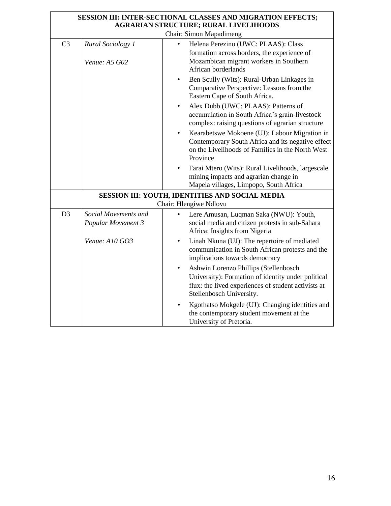|                |                                            | SESSION III: INTER-SECTIONAL CLASSES AND MIGRATION EFFECTS;<br><b>AGRARIAN STRUCTURE; RURAL LIVELIHOODS.</b>                                                                                |
|----------------|--------------------------------------------|---------------------------------------------------------------------------------------------------------------------------------------------------------------------------------------------|
|                |                                            | Chair: Simon Mapadimeng                                                                                                                                                                     |
| C <sub>3</sub> | Rural Sociology 1<br>Venue: A5 G02         | Helena Perezino (UWC: PLAAS): Class<br>formation across borders, the experience of<br>Mozambican migrant workers in Southern<br>African borderlands                                         |
|                |                                            | Ben Scully (Wits): Rural-Urban Linkages in<br>$\bullet$<br>Comparative Perspective: Lessons from the<br>Eastern Cape of South Africa.                                                       |
|                |                                            | Alex Dubb (UWC: PLAAS): Patterns of<br>accumulation in South Africa's grain-livestock<br>complex: raising questions of agrarian structure                                                   |
|                |                                            | Kearabetswe Mokoene (UJ): Labour Migration in<br>$\bullet$<br>Contemporary South Africa and its negative effect<br>on the Livelihoods of Families in the North West<br>Province             |
|                |                                            | Farai Mtero (Wits): Rural Livelihoods, largescale<br>mining impacts and agrarian change in<br>Mapela villages, Limpopo, South Africa                                                        |
|                |                                            | SESSION III: YOUTH, IDENTITIES AND SOCIAL MEDIA<br>Chair: Hlengiwe Ndlovu                                                                                                                   |
| D <sub>3</sub> | Social Movements and<br>Popular Movement 3 | Lere Amusan, Luqman Saka (NWU): Youth,<br>social media and citizen protests in sub-Sahara<br>Africa: Insights from Nigeria                                                                  |
|                | Venue: A10 GO3                             | Linah Nkuna (UJ): The repertoire of mediated<br>$\bullet$<br>communication in South African protests and the<br>implications towards democracy                                              |
|                |                                            | Ashwin Lorenzo Phillips (Stellenbosch<br>$\bullet$<br>University): Formation of identity under political<br>flux: the lived experiences of student activists at<br>Stellenbosch University. |
|                |                                            | Kgothatso Mokgele (UJ): Changing identities and<br>$\bullet$<br>the contemporary student movement at the<br>University of Pretoria.                                                         |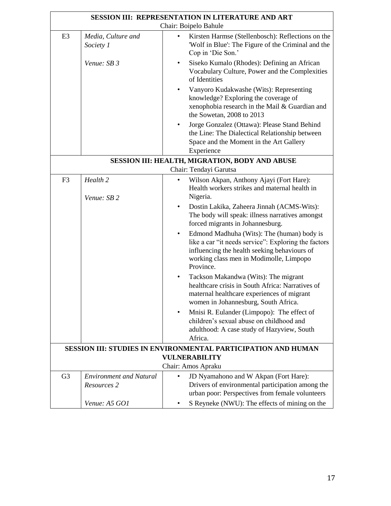| SESSION III: REPRESENTATION IN LITERATURE AND ART |                                               |                                                                                                                                                                                                                         |
|---------------------------------------------------|-----------------------------------------------|-------------------------------------------------------------------------------------------------------------------------------------------------------------------------------------------------------------------------|
|                                                   |                                               | Chair: Boipelo Bahule                                                                                                                                                                                                   |
| E <sub>3</sub>                                    | Media, Culture and<br>Society 1               | Kirsten Harmse (Stellenbosch): Reflections on the<br>$\bullet$<br>'Wolf in Blue': The Figure of the Criminal and the<br>Cop in 'Die Son.'                                                                               |
|                                                   | Venue: SB 3                                   | Siseko Kumalo (Rhodes): Defining an African<br>$\bullet$<br>Vocabulary Culture, Power and the Complexities<br>of Identities                                                                                             |
|                                                   |                                               | Vanyoro Kudakwashe (Wits): Representing<br>knowledge? Exploring the coverage of<br>xenophobia research in the Mail & Guardian and<br>the Sowetan, 2008 to 2013                                                          |
|                                                   |                                               | Jorge Gonzalez (Ottawa): Please Stand Behind<br>$\bullet$<br>the Line: The Dialectical Relationship between<br>Space and the Moment in the Art Gallery<br>Experience                                                    |
|                                                   |                                               | SESSION III: HEALTH, MIGRATION, BODY AND ABUSE                                                                                                                                                                          |
|                                                   |                                               | Chair: Tendayi Garutsa                                                                                                                                                                                                  |
| F <sub>3</sub>                                    | Health <sub>2</sub>                           | Wilson Akpan, Anthony Ajayi (Fort Hare):<br>$\bullet$<br>Health workers strikes and maternal health in<br>Nigeria.                                                                                                      |
|                                                   | Venue: SB 2                                   | Dostin Lakika, Zaheera Jinnah (ACMS-Wits):<br>$\bullet$<br>The body will speak: illness narratives amongst<br>forced migrants in Johannesburg.                                                                          |
|                                                   |                                               | Edmond Madhuha (Wits): The (human) body is<br>$\bullet$<br>like a car "it needs service": Exploring the factors<br>influencing the health seeking behaviours of<br>working class men in Modimolle, Limpopo<br>Province. |
|                                                   |                                               | Tackson Makandwa (Wits): The migrant<br>healthcare crisis in South Africa: Narratives of<br>maternal healthcare experiences of migrant<br>women in Johannesburg, South Africa.                                          |
|                                                   |                                               | Mnisi R. Eulander (Limpopo): The effect of<br>٠<br>children's sexual abuse on childhood and<br>adulthood: A case study of Hazyview, South<br>Africa.                                                                    |
|                                                   |                                               | <b>SESSION III: STUDIES IN ENVIRONMENTAL PARTICIPATION AND HUMAN</b>                                                                                                                                                    |
|                                                   |                                               | VULNERABILITY                                                                                                                                                                                                           |
|                                                   |                                               | Chair: Amos Apraku                                                                                                                                                                                                      |
| G <sub>3</sub>                                    | <b>Environment and Natural</b><br>Resources 2 | JD Nyamahono and W Akpan (Fort Hare):<br>$\bullet$<br>Drivers of environmental participation among the<br>urban poor: Perspectives from female volunteers                                                               |
|                                                   | Venue: A5 GO1                                 | S Reyneke (NWU): The effects of mining on the                                                                                                                                                                           |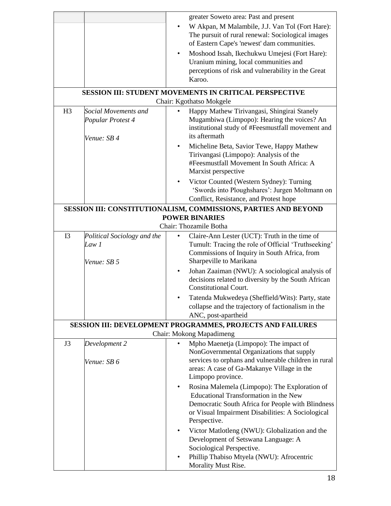|                |                                                          | greater Soweto area: Past and present                                                                                                                                                                                                |
|----------------|----------------------------------------------------------|--------------------------------------------------------------------------------------------------------------------------------------------------------------------------------------------------------------------------------------|
|                |                                                          | W Akpan, M Malambile, J.J. Van Tol (Fort Hare):<br>The pursuit of rural renewal: Sociological images<br>of Eastern Cape's 'newest' dam communities.                                                                                  |
|                |                                                          | Moshood Issah, Ikechukwu Umejesi (Fort Hare):<br>$\bullet$<br>Uranium mining, local communities and<br>perceptions of risk and vulnerability in the Great<br>Karoo.                                                                  |
|                |                                                          | <b>SESSION III: STUDENT MOVEMENTS IN CRITICAL PERSPECTIVE</b><br>Chair: Kgothatso Mokgele                                                                                                                                            |
| H <sub>3</sub> | Social Movements and<br>Popular Protest 4<br>Venue: SB 4 | Happy Mathew Tirivangasi, Shingirai Stanely<br>Mugambiwa (Limpopo): Hearing the voices? An<br>institutional study of #Feesmustfall movement and<br>its aftermath                                                                     |
|                |                                                          | Micheline Beta, Savior Tewe, Happy Mathew<br>Tirivangasi (Limpopo): Analysis of the<br>#Feesmustfall Movement In South Africa: A<br>Marxist perspective                                                                              |
|                |                                                          | Victor Counted (Western Sydney): Turning<br>'Swords into Ploughshares': Jurgen Moltmann on<br>Conflict, Resistance, and Protest hope                                                                                                 |
|                |                                                          | SESSION III: CONSTITUTIONALISM, COMMISSIONS, PARTIES AND BEYOND<br><b>POWER BINARIES</b>                                                                                                                                             |
|                |                                                          | Chair: Thozamile Botha                                                                                                                                                                                                               |
| I <sub>3</sub> | Political Sociology and the<br>Law 1<br>Venue: SB 5      | Claire-Ann Lester (UCT): Truth in the time of<br>Tumult: Tracing the role of Official 'Truthseeking'<br>Commissions of Inquiry in South Africa, from<br>Sharpeville to Marikana                                                      |
|                |                                                          | Johan Zaaiman (NWU): A sociological analysis of<br>$\bullet$<br>decisions related to diversity by the South African<br><b>Constitutional Court.</b>                                                                                  |
|                |                                                          | Tatenda Mukwedeya (Sheffield/Wits): Party, state<br>collapse and the trajectory of factionalism in the<br>ANC, post-apartheid                                                                                                        |
|                |                                                          | <b>SESSION III: DEVELOPMENT PROGRAMMES, PROJECTS AND FAILURES</b><br>Chair: Mokong Mapadimeng                                                                                                                                        |
| J3             | Development 2<br>Venue: SB 6                             | Mpho Maenetja (Limpopo): The impact of<br>NonGovernmental Organizations that supply<br>services to orphans and vulnerable children in rural                                                                                          |
|                |                                                          | areas: A case of Ga-Makanye Village in the<br>Limpopo province.                                                                                                                                                                      |
|                |                                                          | Rosina Malemela (Limpopo): The Exploration of<br>$\bullet$<br><b>Educational Transformation in the New</b><br>Democratic South Africa for People with Blindness<br>or Visual Impairment Disabilities: A Sociological<br>Perspective. |
|                |                                                          | Victor Matlotleng (NWU): Globalization and the<br>Development of Setswana Language: A<br>Sociological Perspective.                                                                                                                   |
|                |                                                          | Phillip Thabiso Mtyela (NWU): Afrocentric<br>Morality Must Rise.                                                                                                                                                                     |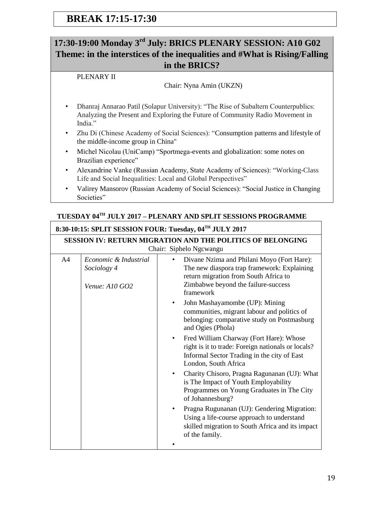## **17:30-19:00 Monday 3rd July: BRICS PLENARY SESSION: A10 G02 Theme: in the interstices of the inequalities and #What is Rising/Falling in the BRICS?**

#### PLENARY II

#### Chair: Nyna Amin (UKZN)

- Dhanraj Annarao Patil (Solapur University): "The Rise of Subaltern Counterpublics: Analyzing the Present and Exploring the Future of Community Radio Movement in India."
- Zhu Di (Chinese Academy of Social Sciences): "Consumption patterns and lifestyle of the middle-income group in China"
- Michel Nicolau (UniCamp) "Sportmega-events and globalization: some notes on Brazilian experience"
- Alexandrine Vanke (Russian Academy, State Academy of Sciences): "Working-Class Life and Social Inequalities: Local and Global Perspectives"
- Valirey Mansorov (Russian Academy of Social Sciences): "Social Justice in Changing Societies"

#### **TUESDAY 04TH JULY 2017 – PLENARY AND SPLIT SESSIONS PROGRAMME**

#### **8:30-10:15: SPLIT SESSION FOUR: Tuesday, 04TH JULY 2017**

| <b>SESSION IV: RETURN MIGRATION AND THE POLITICS OF BELONGING</b> |                                                        |                                                                                                                                                                                        |
|-------------------------------------------------------------------|--------------------------------------------------------|----------------------------------------------------------------------------------------------------------------------------------------------------------------------------------------|
|                                                                   |                                                        | Chair: Siphelo Ngcwangu                                                                                                                                                                |
| A <sub>4</sub>                                                    | Economic & Industrial<br>Sociology 4<br>Venue: A10 GO2 | Divane Nzima and Philani Moyo (Fort Hare):<br>The new diaspora trap framework: Explaining<br>return migration from South Africa to<br>Zimbabwe beyond the failure-success<br>framework |
|                                                                   |                                                        | John Mashayamombe (UP): Mining<br>$\bullet$<br>communities, migrant labour and politics of<br>belonging: comparative study on Postmasburg<br>and Ogies (Phola)                         |
|                                                                   |                                                        | Fred William Charway (Fort Hare): Whose<br>$\bullet$<br>right is it to trade: Foreign nationals or locals?<br>Informal Sector Trading in the city of East<br>London, South Africa      |
|                                                                   |                                                        | Charity Chisoro, Pragna Ragunanan (UJ): What<br>is The Impact of Youth Employability<br>Programmes on Young Graduates in The City<br>of Johannesburg?                                  |
|                                                                   |                                                        | Pragna Rugunanan (UJ): Gendering Migration:<br>Using a life-course approach to understand<br>skilled migration to South Africa and its impact<br>of the family.                        |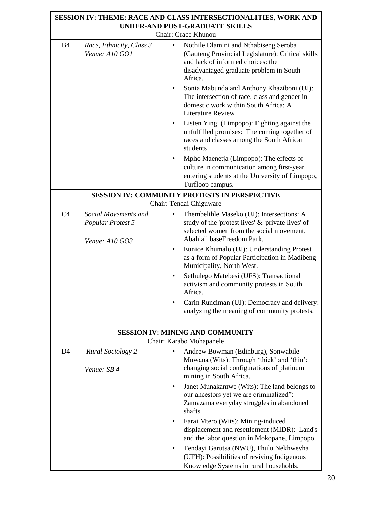|                |                                                             | <b>SESSION IV: THEME: RACE AND CLASS INTERSECTIONALITIES, WORK AND</b><br><b>UNDER-AND POST-GRADUATE SKILLS</b>                                                                       |
|----------------|-------------------------------------------------------------|---------------------------------------------------------------------------------------------------------------------------------------------------------------------------------------|
|                |                                                             | Chair: Grace Khunou                                                                                                                                                                   |
| <b>B</b> 4     | Race, Ethnicity, Class 3<br>Venue: A10 GO1                  | Nothile Dlamini and Nthabiseng Seroba<br>(Gauteng Provincial Legislature): Critical skills<br>and lack of informed choices: the<br>disadvantaged graduate problem in South<br>Africa. |
|                |                                                             | Sonia Mabunda and Anthony Khaziboni (UJ):<br>The intersection of race, class and gender in<br>domestic work within South Africa: A<br><b>Literature Review</b>                        |
|                |                                                             | Listen Yingi (Limpopo): Fighting against the<br>unfulfilled promises: The coming together of<br>races and classes among the South African<br>students                                 |
|                |                                                             | Mpho Maenetja (Limpopo): The effects of<br>$\bullet$<br>culture in communication among first-year<br>entering students at the University of Limpopo,<br>Turfloop campus.              |
|                |                                                             | <b>SESSION IV: COMMUNITY PROTESTS IN PERSPECTIVE</b>                                                                                                                                  |
|                |                                                             | Chair: Tendai Chiguware                                                                                                                                                               |
| C <sub>4</sub> | Social Movements and<br>Popular Protest 5<br>Venue: A10 GO3 | Thembelihle Maseko (UJ): Intersections: A<br>study of the 'protest lives' & 'private lives' of<br>selected women from the social movement,<br>Abahlali baseFreedom Park.              |
|                |                                                             | Eunice Khumalo (UJ): Understanding Protest<br>as a form of Popular Participation in Madibeng<br>Municipality, North West.                                                             |
|                |                                                             | Sethulego Matebesi (UFS): Transactional<br>activism and community protests in South<br>Africa.                                                                                        |
|                |                                                             | Carin Runciman (UJ): Democracy and delivery:<br>analyzing the meaning of community protests.                                                                                          |
|                |                                                             | <b>SESSION IV: MINING AND COMMUNITY</b><br>Chair: Karabo Mohapanele                                                                                                                   |
| D <sub>4</sub> | <b>Rural Sociology 2</b>                                    | Andrew Bowman (Edinburg), Sonwabile                                                                                                                                                   |
|                | Venue: SB 4                                                 | Mnwana (Wits): Through 'thick' and 'thin':<br>changing social configurations of platinum<br>mining in South Africa.                                                                   |
|                |                                                             | Janet Munakamwe (Wits): The land belongs to<br>$\bullet$                                                                                                                              |
|                |                                                             | our ancestors yet we are criminalized":<br>Zamazama everyday struggles in abandoned<br>shafts.                                                                                        |
|                |                                                             | Farai Mtero (Wits): Mining-induced<br>٠<br>displacement and resettlement (MIDR): Land's<br>and the labor question in Mokopane, Limpopo                                                |
|                |                                                             | Tendayi Garutsa (NWU), Fhulu Nekhwevha<br>(UFH): Possibilities of reviving Indigenous<br>Knowledge Systems in rural households.                                                       |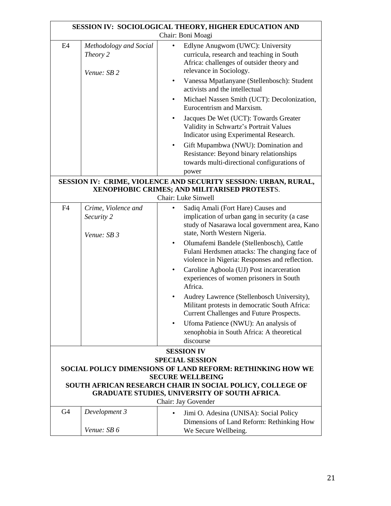| SESSION IV: SOCIOLOGICAL THEORY, HIGHER EDUCATION AND                                |                                                                                                                                        |                                                                                                                                                                       |  |
|--------------------------------------------------------------------------------------|----------------------------------------------------------------------------------------------------------------------------------------|-----------------------------------------------------------------------------------------------------------------------------------------------------------------------|--|
|                                                                                      |                                                                                                                                        | Chair: Boni Moagi                                                                                                                                                     |  |
| E <sub>4</sub>                                                                       | Methodology and Social<br>Theory 2<br>Venue: SB 2                                                                                      | Edlyne Anugwom (UWC): University<br>$\bullet$<br>curricula, research and teaching in South<br>Africa: challenges of outsider theory and<br>relevance in Sociology.    |  |
|                                                                                      |                                                                                                                                        | Vanessa Mpatlanyane (Stellenbosch): Student<br>$\bullet$<br>activists and the intellectual                                                                            |  |
|                                                                                      |                                                                                                                                        | Michael Nassen Smith (UCT): Decolonization,<br>$\bullet$<br>Eurocentrism and Marxism.                                                                                 |  |
|                                                                                      |                                                                                                                                        | Jacques De Wet (UCT): Towards Greater<br>Validity in Schwartz's Portrait Values<br>Indicator using Experimental Research.                                             |  |
|                                                                                      |                                                                                                                                        | Gift Mupambwa (NWU): Domination and<br>$\bullet$<br>Resistance: Beyond binary relationships<br>towards multi-directional configurations of<br>power                   |  |
|                                                                                      | SESSION IV: CRIME, VIOLENCE AND SECURITY SESSION: URBAN, RURAL,<br>XENOPHOBIC CRIMES; AND MILITARISED PROTESTS.<br>Chair: Luke Sinwell |                                                                                                                                                                       |  |
| F <sub>4</sub>                                                                       | Crime, Violence and<br>Security 2<br>Venue: SB 3                                                                                       | Sadiq Amali (Fort Hare) Causes and<br>implication of urban gang in security (a case<br>study of Nasarawa local government area, Kano<br>state, North Western Nigeria. |  |
|                                                                                      |                                                                                                                                        | Olumafemi Bandele (Stellenbosch), Cattle<br>$\bullet$<br>Fulani Herdsmen attacks: The changing face of<br>violence in Nigeria: Responses and reflection.              |  |
|                                                                                      |                                                                                                                                        | Caroline Agboola (UJ) Post incarceration<br>$\bullet$<br>experiences of women prisoners in South<br>Africa.                                                           |  |
|                                                                                      |                                                                                                                                        | Audrey Lawrence (Stellenbosch University),<br>Militant protests in democratic South Africa:<br>Current Challenges and Future Prospects.                               |  |
|                                                                                      |                                                                                                                                        | Ufoma Patience (NWU): An analysis of<br>xenophobia in South Africa: A theoretical<br>discourse                                                                        |  |
|                                                                                      |                                                                                                                                        | <b>SESSION IV</b>                                                                                                                                                     |  |
|                                                                                      | <b>SPECIAL SESSION</b>                                                                                                                 |                                                                                                                                                                       |  |
| <b>SOCIAL POLICY DIMENSIONS OF LAND REFORM: RETHINKING HOW WE</b>                    |                                                                                                                                        |                                                                                                                                                                       |  |
| <b>SECURE WELLBEING</b><br>SOUTH AFRICAN RESEARCH CHAIR IN SOCIAL POLICY, COLLEGE OF |                                                                                                                                        |                                                                                                                                                                       |  |
| <b>GRADUATE STUDIES, UNIVERSITY OF SOUTH AFRICA.</b><br>Chair: Jay Govender          |                                                                                                                                        |                                                                                                                                                                       |  |
| G <sub>4</sub>                                                                       | Development 3                                                                                                                          | Jimi O. Adesina (UNISA): Social Policy<br>Dimensions of Land Reform: Rethinking How                                                                                   |  |
|                                                                                      | Venue: SB 6                                                                                                                            | We Secure Wellbeing.                                                                                                                                                  |  |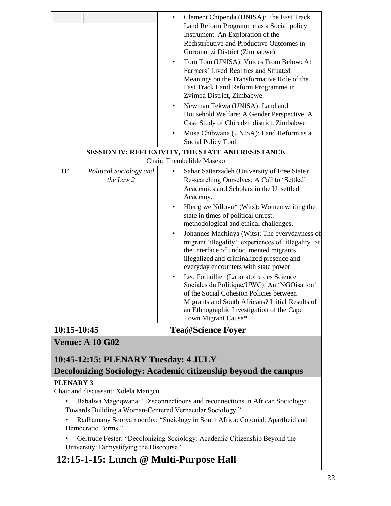|                                                                |                                      | Clement Chipenda (UNISA): The Fast Track<br>$\bullet$<br>Land Reform Programme as a Social policy<br>Instrument. An Exploration of the<br>Redistributive and Productive Outcomes in<br>Goromonzi District (Zimbabwe)<br>Tom Tom (UNISA): Voices From Below: A1<br>Farmers' Lived Realities and Situated<br>Meanings on the Transformative Role of the<br>Fast Track Land Reform Programme in<br>Zvimba District, Zimbabwe.<br>Newman Tekwa (UNISA): Land and<br>$\bullet$<br>Household Welfare: A Gender Perspective. A<br>Case Study of Chiredzi district, Zimbabwe<br>Musa Chibwana (UNISA): Land Reform as a<br>Social Policy Tool.                                                                                                                                                  |
|----------------------------------------------------------------|--------------------------------------|-----------------------------------------------------------------------------------------------------------------------------------------------------------------------------------------------------------------------------------------------------------------------------------------------------------------------------------------------------------------------------------------------------------------------------------------------------------------------------------------------------------------------------------------------------------------------------------------------------------------------------------------------------------------------------------------------------------------------------------------------------------------------------------------|
|                                                                |                                      | SESSION IV: REFLEXIVITY, THE STATE AND RESISTANCE<br>Chair: Thembelihle Maseko                                                                                                                                                                                                                                                                                                                                                                                                                                                                                                                                                                                                                                                                                                          |
| H <sub>4</sub>                                                 | Political Sociology and<br>the Law 2 | Sahar Sattarzadeh (University of Free State):<br>Re-searching Ourselves: A Call to 'Settled'<br>Academics and Scholars in the Unsettled<br>Academy.<br>Hlengiwe Ndlovu* (Wits): Women writing the<br>state in times of political unrest:<br>methodological and ethical challenges.<br>Johannes Machinya (Wits): The everydayness of<br>migrant 'illegality': experiences of 'illegality' at<br>the interface of undocumented migrants<br>illegalized and criminalized presence and<br>everyday encounters with state power<br>Leo Fortaillier (Laboratoire des Science<br>Sociales du Politique/UWC): An 'NGOisation'<br>of the Social Cohesion Policies between<br>Migrants and South Africans? Initial Results of<br>an Ethnographic Investigation of the Cape<br>Town Migrant Cause* |
| 10:15-10:45                                                    |                                      | <b>Tea@Science Foyer</b>                                                                                                                                                                                                                                                                                                                                                                                                                                                                                                                                                                                                                                                                                                                                                                |
| <b>Venue: A 10 G02</b><br>10:45-12:15: PLENARY Tuesday: 4 JULY |                                      |                                                                                                                                                                                                                                                                                                                                                                                                                                                                                                                                                                                                                                                                                                                                                                                         |

## **Decolonizing Sociology: Academic citizenship beyond the campus**

#### **PLENARY 3**

Chair and discussant: Xolela Mangcu

- Babalwa Magoqwana: "Disconnectioons and reconnections in African Sociology: Towards Building a Woman-Centered Vernacular Sociology."
- Radhamany Sooryamoorthy: "Sociology in South Africa: Colonial, Apartheid and Democratic Forms."
- Gertrude Fester: "Decolonizing Sociology: Academic Citizenship Beyond the University: Demystifying the Discourse."

## **12:15-1-15: Lunch @ Multi-Purpose Hall**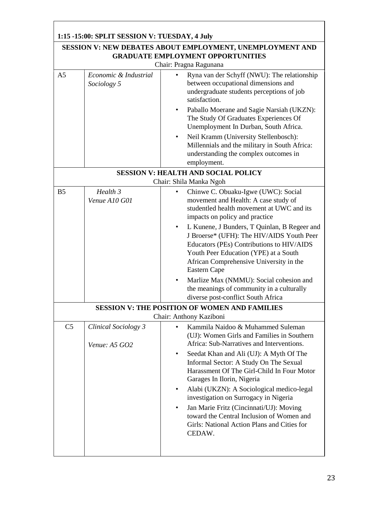| 1:15 -15:00: SPLIT SESSION V: TUESDAY, 4 July                                                                                          |                                                                                                                                                                                                                                                                                                                                                                                                                                                                                                                                                                                                                                |  |
|----------------------------------------------------------------------------------------------------------------------------------------|--------------------------------------------------------------------------------------------------------------------------------------------------------------------------------------------------------------------------------------------------------------------------------------------------------------------------------------------------------------------------------------------------------------------------------------------------------------------------------------------------------------------------------------------------------------------------------------------------------------------------------|--|
| <b>SESSION V: NEW DEBATES ABOUT EMPLOYMENT, UNEMPLOYMENT AND</b><br><b>GRADUATE EMPLOYMENT OPPORTUNITIES</b><br>Chair: Pragna Ragunana |                                                                                                                                                                                                                                                                                                                                                                                                                                                                                                                                                                                                                                |  |
| Economic & Industrial<br>Sociology 5                                                                                                   | Ryna van der Schyff (NWU): The relationship<br>between occupational dimensions and<br>undergraduate students perceptions of job<br>satisfaction.<br>Paballo Moerane and Sagie Narsiah (UKZN):<br>The Study Of Graduates Experiences Of<br>Unemployment In Durban, South Africa.<br>Neil Kramm (University Stellenbosch):<br>Millennials and the military in South Africa:<br>understanding the complex outcomes in<br>employment.                                                                                                                                                                                              |  |
|                                                                                                                                        | <b>SESSION V: HEALTH AND SOCIAL POLICY</b>                                                                                                                                                                                                                                                                                                                                                                                                                                                                                                                                                                                     |  |
| Health 3<br>Venue A10 G01                                                                                                              | Chair: Shila Manka Ngoh<br>Chinwe C. Obuaku-Igwe (UWC): Social<br>movement and Health: A case study of<br>studentled health movement at UWC and its<br>impacts on policy and practice<br>L Kunene, J Bunders, T Quinlan, B Regeer and<br>٠<br>J Broerse* (UFH): The HIV/AIDS Youth Peer<br>Educators (PEs) Contributions to HIV/AIDS<br>Youth Peer Education (YPE) at a South<br>African Comprehensive University in the<br>Eastern Cape<br>Marlize Max (NMMU): Social cohesion and<br>the meanings of community in a culturally<br>diverse post-conflict South Africa<br><b>SESSION V: THE POSITION OF WOMEN AND FAMILIES</b> |  |
| Clinical Sociology 3<br>Venue: A5 GO2                                                                                                  | Chair: Anthony Kaziboni<br>Kammila Naidoo & Muhammed Suleman<br>(UJ): Women Girls and Families in Southern<br>Africa: Sub-Narratives and Interventions.<br>Seedat Khan and Ali (UJ): A Myth Of The<br>$\bullet$<br>Informal Sector: A Study On The Sexual<br>Harassment Of The Girl-Child In Four Motor<br>Garages In Ilorin, Nigeria<br>Alabi (UKZN): A Sociological medico-legal<br>$\bullet$<br>investigation on Surrogacy in Nigeria<br>Jan Marie Fritz (Cincinnati/UJ): Moving<br>$\bullet$<br>toward the Central Inclusion of Women and<br>Girls: National Action Plans and Cities for<br>CEDAW.                         |  |
|                                                                                                                                        |                                                                                                                                                                                                                                                                                                                                                                                                                                                                                                                                                                                                                                |  |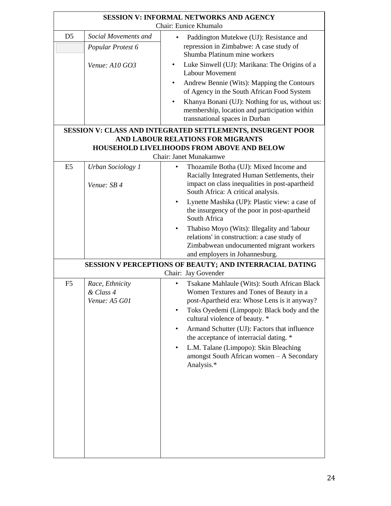| <b>SESSION V: INFORMAL NETWORKS AND AGENCY</b>                                            |                                |                                                                                               |  |  |  |
|-------------------------------------------------------------------------------------------|--------------------------------|-----------------------------------------------------------------------------------------------|--|--|--|
| Chair: Eunice Khumalo                                                                     |                                |                                                                                               |  |  |  |
| D <sub>5</sub>                                                                            | Social Movements and           | Paddington Mutekwe (UJ): Resistance and<br>$\bullet$                                          |  |  |  |
|                                                                                           | Popular Protest 6              | repression in Zimbabwe: A case study of<br>Shumba Platinum mine workers                       |  |  |  |
|                                                                                           |                                | Luke Sinwell (UJ): Marikana: The Origins of a<br>$\bullet$                                    |  |  |  |
|                                                                                           | Venue: $A10$ GO3               | Labour Movement                                                                               |  |  |  |
|                                                                                           |                                | Andrew Bennie (Wits): Mapping the Contours<br>$\bullet$                                       |  |  |  |
|                                                                                           |                                | of Agency in the South African Food System                                                    |  |  |  |
|                                                                                           |                                | Khanya Bonani (UJ): Nothing for us, without us:                                               |  |  |  |
|                                                                                           |                                | membership, location and participation within                                                 |  |  |  |
|                                                                                           | transnational spaces in Durban |                                                                                               |  |  |  |
|                                                                                           |                                | <b>SESSION V: CLASS AND INTEGRATED SETTLEMENTS, INSURGENT POOR</b>                            |  |  |  |
|                                                                                           |                                | AND LABOUR RELATIONS FOR MIGRANTS<br>HOUSEHOLD LIVELIHOODS FROM ABOVE AND BELOW               |  |  |  |
|                                                                                           |                                | <b>Chair: Janet Munakamwe</b>                                                                 |  |  |  |
| E <sub>5</sub>                                                                            | <b>Urban Sociology 1</b>       | Thozamile Botha (UJ): Mixed Income and<br>٠                                                   |  |  |  |
|                                                                                           |                                | Racially Integrated Human Settlements, their                                                  |  |  |  |
|                                                                                           | Venue: SB 4                    | impact on class inequalities in post-apartheid                                                |  |  |  |
|                                                                                           |                                | South Africa: A critical analysis.<br>$\bullet$                                               |  |  |  |
|                                                                                           |                                | Lynette Mashika (UP): Plastic view: a case of<br>the insurgency of the poor in post-apartheid |  |  |  |
|                                                                                           |                                | South Africa                                                                                  |  |  |  |
|                                                                                           |                                | Thabiso Moyo (Wits): Illegality and 'labour<br>$\bullet$                                      |  |  |  |
|                                                                                           |                                | relations' in construction: a case study of                                                   |  |  |  |
|                                                                                           |                                | Zimbabwean undocumented migrant workers                                                       |  |  |  |
| and employers in Johannesburg.<br>SESSION V PERCEPTIONS OF BEAUTY; AND INTERRACIAL DATING |                                |                                                                                               |  |  |  |
|                                                                                           |                                | Chair: Jay Govender                                                                           |  |  |  |
| F <sub>5</sub>                                                                            | Race, Ethnicity                | Tsakane Mahlaule (Wits): South African Black<br>٠                                             |  |  |  |
|                                                                                           | & Class 4<br>Venue: A5 G01     | Women Textures and Tones of Beauty in a<br>post-Apartheid era: Whose Lens is it anyway?       |  |  |  |
|                                                                                           |                                | Toks Oyedemi (Limpopo): Black body and the                                                    |  |  |  |
|                                                                                           |                                | cultural violence of beauty. *                                                                |  |  |  |
|                                                                                           |                                | Armand Schutter (UJ): Factors that influence<br>$\bullet$                                     |  |  |  |
|                                                                                           |                                | the acceptance of interracial dating. *<br>L.M. Talane (Limpopo): Skin Bleaching<br>$\bullet$ |  |  |  |
|                                                                                           |                                | amongst South African women - A Secondary                                                     |  |  |  |
|                                                                                           |                                | Analysis.*                                                                                    |  |  |  |
|                                                                                           |                                |                                                                                               |  |  |  |
|                                                                                           |                                |                                                                                               |  |  |  |
|                                                                                           |                                |                                                                                               |  |  |  |
|                                                                                           |                                |                                                                                               |  |  |  |
|                                                                                           |                                |                                                                                               |  |  |  |
|                                                                                           |                                |                                                                                               |  |  |  |
|                                                                                           |                                |                                                                                               |  |  |  |
|                                                                                           |                                |                                                                                               |  |  |  |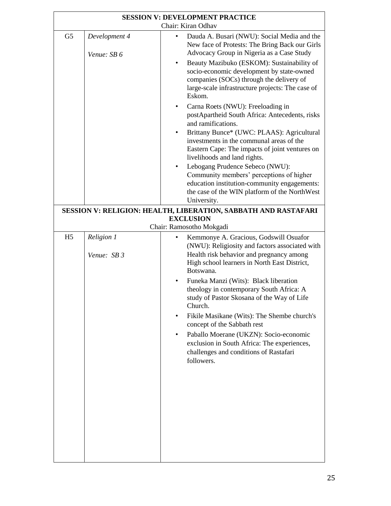| <b>SESSION V: DEVELOPMENT PRACTICE</b> |                              |                                                                                                                                                                                                                                                                                                                                                                                                                                                 |  |
|----------------------------------------|------------------------------|-------------------------------------------------------------------------------------------------------------------------------------------------------------------------------------------------------------------------------------------------------------------------------------------------------------------------------------------------------------------------------------------------------------------------------------------------|--|
| Chair: Kiran Odhav                     |                              |                                                                                                                                                                                                                                                                                                                                                                                                                                                 |  |
| G <sub>5</sub>                         | Development 4<br>Venue: SB 6 | Dauda A. Busari (NWU): Social Media and the<br>New face of Protests: The Bring Back our Girls<br>Advocacy Group in Nigeria as a Case Study<br>Beauty Mazibuko (ESKOM): Sustainability of<br>$\bullet$<br>socio-economic development by state-owned<br>companies (SOCs) through the delivery of<br>large-scale infrastructure projects: The case of<br>Eskom.<br>Carna Roets (NWU): Freeloading in<br>$\bullet$                                  |  |
|                                        |                              | postApartheid South Africa: Antecedents, risks<br>and ramifications.<br>Brittany Bunce* (UWC: PLAAS): Agricultural<br>investments in the communal areas of the<br>Eastern Cape: The impacts of joint ventures on<br>livelihoods and land rights.<br>Lebogang Prudence Sebeco (NWU):<br>Community members' perceptions of higher<br>education institution-community engagements:<br>the case of the WIN platform of the NorthWest<br>University. |  |
|                                        |                              | SESSION V: RELIGION: HEALTH, LIBERATION, SABBATH AND RASTAFARI                                                                                                                                                                                                                                                                                                                                                                                  |  |
|                                        |                              | <b>EXCLUSION</b>                                                                                                                                                                                                                                                                                                                                                                                                                                |  |
|                                        |                              | Chair: Ramosotho Mokgadi                                                                                                                                                                                                                                                                                                                                                                                                                        |  |
| H <sub>5</sub>                         | Religion 1<br>Venue: SB 3    | Kemmonye A. Gracious, Godswill Osuafor<br>(NWU): Religiosity and factors associated with<br>Health risk behavior and pregnancy among<br>High school learners in North East District,<br>Botswana.                                                                                                                                                                                                                                               |  |
|                                        |                              | Funeka Manzi (Wits): Black liberation<br>theology in contemporary South Africa: A<br>study of Pastor Skosana of the Way of Life<br>Church.<br>Fikile Masikane (Wits): The Shembe church's<br>concept of the Sabbath rest<br>Paballo Moerane (UKZN): Socio-economic<br>$\bullet$<br>exclusion in South Africa: The experiences,<br>challenges and conditions of Rastafari<br>followers.                                                          |  |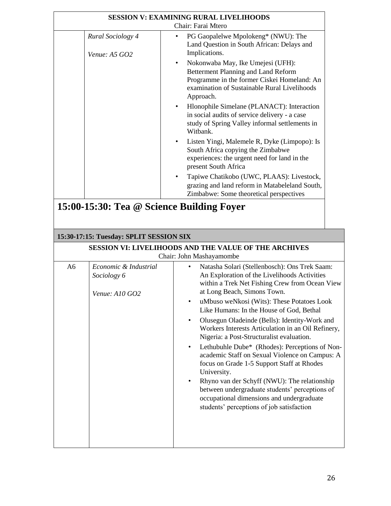| <b>SESSION V: EXAMINING RURAL LIVELIHOODS</b> |                                           |                                                                                                                                                                                                   |
|-----------------------------------------------|-------------------------------------------|---------------------------------------------------------------------------------------------------------------------------------------------------------------------------------------------------|
| Chair: Farai Mtero                            |                                           |                                                                                                                                                                                                   |
|                                               | <b>Rural Sociology 4</b><br>Venue: A5 GO2 | PG Gaopalelwe Mpolokeng* (NWU): The<br>Land Question in South African: Delays and<br>Implications.                                                                                                |
|                                               |                                           | Nokonwaba May, Ike Umejesi (UFH):<br>Betterment Planning and Land Reform<br>Programme in the former Ciskei Homeland: An<br>examination of Sustainable Rural Livelihoods<br>Approach.              |
|                                               |                                           | Hlonophile Simelane (PLANACT): Interaction<br>in social audits of service delivery - a case<br>study of Spring Valley informal settlements in<br>Witbank.                                         |
|                                               |                                           | Listen Yingi, Malemele R, Dyke (Limpopo): Is<br>$\bullet$<br>South Africa copying the Zimbabwe<br>experiences: the urgent need for land in the<br>present South Africa                            |
|                                               |                                           | Tapiwe Chatikobo (UWC, PLAAS): Livestock,<br>grazing and land reform in Matabeleland South,<br>Zimbabwe: Some theoretical perspectives                                                            |
|                                               |                                           | 15:00-15:30: Tea @ Science Building Foyer                                                                                                                                                         |
|                                               |                                           |                                                                                                                                                                                                   |
| 15:30-17:15: Tuesday: SPLIT SESSION SIX       |                                           |                                                                                                                                                                                                   |
|                                               |                                           |                                                                                                                                                                                                   |
|                                               |                                           | <b>SESSION VI: LIVELIHOODS AND THE VALUE OF THE ARCHIVES</b>                                                                                                                                      |
|                                               |                                           | Chair: John Mashayamombe                                                                                                                                                                          |
| A <sub>6</sub>                                | Economic & Industrial<br>Sociology 6      | Natasha Solari (Stellenbosch): Ons Trek Saam:<br>An Exploration of the Livelihoods Activities<br>within a Trek Net Fishing Crew from Ocean View                                                   |
|                                               | Venue: $A10$ GO2                          | at Long Beach, Simons Town.<br>uMbuso weNkosi (Wits): These Potatoes Look<br>٠                                                                                                                    |
|                                               |                                           | Like Humans: In the House of God, Bethal<br>Olusegun Oladeinde (Bells): Identity-Work and<br>٠<br>Workers Interests Articulation in an Oil Refinery,<br>Nigeria: a Post-Structuralist evaluation. |
|                                               |                                           | Lethubuhle Dube* (Rhodes): Perceptions of Non-<br>$\bullet$<br>academic Staff on Sexual Violence on Campus: A<br>focus on Grade 1-5 Support Staff at Rhodes<br>University.                        |
|                                               |                                           | Rhyno van der Schyff (NWU): The relationship<br>٠<br>between undergraduate students' perceptions of<br>occupational dimensions and undergraduate<br>students' perceptions of job satisfaction     |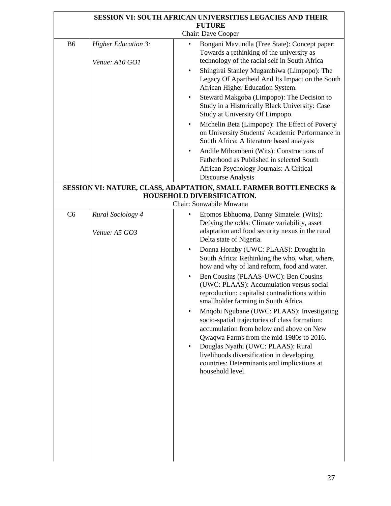| <b>SESSION VI: SOUTH AFRICAN UNIVERSITIES LEGACIES AND THEIR</b><br><b>FUTURE</b> |                                              |                                                                                                                                                                                                                                                                                       |  |  |
|-----------------------------------------------------------------------------------|----------------------------------------------|---------------------------------------------------------------------------------------------------------------------------------------------------------------------------------------------------------------------------------------------------------------------------------------|--|--|
|                                                                                   | Chair: Dave Cooper                           |                                                                                                                                                                                                                                                                                       |  |  |
| <b>B6</b>                                                                         | <b>Higher Education 3:</b><br>Venue: A10 GO1 | Bongani Mavundla (Free State): Concept paper:<br>Towards a rethinking of the university as<br>technology of the racial self in South Africa<br>Shingirai Stanley Mugambiwa (Limpopo): The<br>٠<br>Legacy Of Apartheid And Its Impact on the South<br>African Higher Education System. |  |  |
|                                                                                   |                                              | Steward Makgoba (Limpopo): The Decision to<br>٠<br>Study in a Historically Black University: Case<br>Study at University Of Limpopo.                                                                                                                                                  |  |  |
|                                                                                   |                                              | Michelin Beta (Limpopo): The Effect of Poverty<br>on University Students' Academic Performance in<br>South Africa: A literature based analysis                                                                                                                                        |  |  |
|                                                                                   |                                              | Andile Mthombeni (Wits): Constructions of<br>$\bullet$<br>Fatherhood as Published in selected South<br>African Psychology Journals: A Critical<br>Discourse Analysis                                                                                                                  |  |  |
|                                                                                   |                                              | SESSION VI: NATURE, CLASS, ADAPTATION, SMALL FARMER BOTTLENECKS &                                                                                                                                                                                                                     |  |  |
|                                                                                   |                                              | HOUSEHOLD DIVERSIFICATION.                                                                                                                                                                                                                                                            |  |  |
|                                                                                   |                                              | Chair: Sonwabile Mnwana                                                                                                                                                                                                                                                               |  |  |
| C6                                                                                | Rural Sociology 4<br>Venue: A5 GO3           | Eromos Ebhuoma, Danny Simatele: (Wits):<br>Defying the odds: Climate variability, asset<br>adaptation and food security nexus in the rural<br>Delta state of Nigeria.                                                                                                                 |  |  |
|                                                                                   |                                              | Donna Hornby (UWC: PLAAS): Drought in<br>$\bullet$<br>South Africa: Rethinking the who, what, where,<br>how and why of land reform, food and water.                                                                                                                                   |  |  |
|                                                                                   |                                              | Ben Cousins (PLAAS-UWC): Ben Cousins<br>$\bullet$<br>(UWC: PLAAS): Accumulation versus social<br>reproduction: capitalist contradictions within<br>smallholder farming in South Africa.                                                                                               |  |  |
|                                                                                   |                                              | Mnqobi Ngubane (UWC: PLAAS): Investigating<br>socio-spatial trajectories of class formation:<br>accumulation from below and above on New<br>Qwaqwa Farms from the mid-1980s to 2016.<br>Douglas Nyathi (UWC: PLAAS): Rural<br>$\bullet$<br>livelihoods diversification in developing  |  |  |
|                                                                                   |                                              | countries: Determinants and implications at<br>household level.                                                                                                                                                                                                                       |  |  |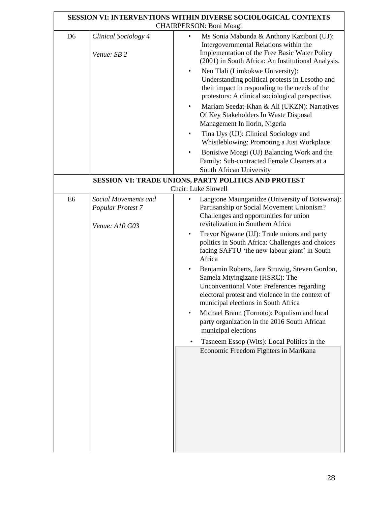| <b>SESSION VI: INTERVENTIONS WITHIN DIVERSE SOCIOLOGICAL CONTEXTS</b><br>CHAIRPERSON: Boni Moagi |                                           |                                                                                                                                                                                                                                                                                                                                                                                                                                                                                                                                                                                                                                                                                                                                                            |
|--------------------------------------------------------------------------------------------------|-------------------------------------------|------------------------------------------------------------------------------------------------------------------------------------------------------------------------------------------------------------------------------------------------------------------------------------------------------------------------------------------------------------------------------------------------------------------------------------------------------------------------------------------------------------------------------------------------------------------------------------------------------------------------------------------------------------------------------------------------------------------------------------------------------------|
| D <sub>6</sub>                                                                                   | Clinical Sociology 4<br>Venue: SB 2       | Ms Sonia Mabunda & Anthony Kaziboni (UJ):<br>$\bullet$<br>Intergovernmental Relations within the<br>Implementation of the Free Basic Water Policy<br>(2001) in South Africa: An Institutional Analysis.<br>Neo Tlali (Limkokwe University):<br>$\bullet$<br>Understanding political protests in Lesotho and<br>their impact in responding to the needs of the<br>protestors: A clinical sociological perspective.<br>Mariam Seedat-Khan & Ali (UKZN): Narratives<br>Of Key Stakeholders In Waste Disposal<br>Management In Ilorin, Nigeria<br>Tina Uys (UJ): Clinical Sociology and<br>Whistleblowing: Promoting a Just Workplace<br>Bonisiwe Moagi (UJ) Balancing Work and the<br>Family: Sub-contracted Female Cleaners at a<br>South African University |
|                                                                                                  |                                           | SESSION VI: TRADE UNIONS, PARTY POLITICS AND PROTEST                                                                                                                                                                                                                                                                                                                                                                                                                                                                                                                                                                                                                                                                                                       |
|                                                                                                  |                                           | Chair: Luke Sinwell                                                                                                                                                                                                                                                                                                                                                                                                                                                                                                                                                                                                                                                                                                                                        |
| E <sub>6</sub>                                                                                   | Social Movements and<br>Popular Protest 7 | Langtone Maunganidze (University of Botswana):<br>Partisanship or Social Movement Unionism?<br>Challenges and opportunities for union                                                                                                                                                                                                                                                                                                                                                                                                                                                                                                                                                                                                                      |
|                                                                                                  | Venue: A10 G03                            | revitalization in Southern Africa<br>Trevor Ngwane (UJ): Trade unions and party<br>$\bullet$<br>politics in South Africa: Challenges and choices<br>facing SAFTU 'the new labour giant' in South<br>Africa<br>Benjamin Roberts, Jare Struwig, Steven Gordon,<br>Samela Mtyingizane (HSRC): The<br><b>Unconventional Vote: Preferences regarding</b><br>electoral protest and violence in the context of<br>municipal elections in South Africa<br>Michael Braun (Tornoto): Populism and local<br>$\bullet$<br>party organization in the 2016 South African<br>municipal elections<br>Tasneem Essop (Wits): Local Politics in the<br>Economic Freedom Fighters in Marikana                                                                                  |

r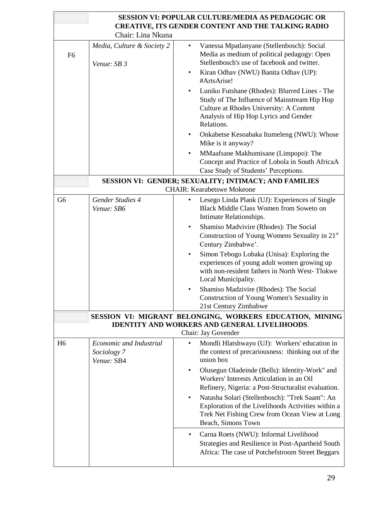| SESSION VI: POPULAR CULTURE/MEDIA AS PEDAGOGIC OR                           |                                                      |                                                                                                                                                                                                                                |  |
|-----------------------------------------------------------------------------|------------------------------------------------------|--------------------------------------------------------------------------------------------------------------------------------------------------------------------------------------------------------------------------------|--|
| CREATIVE, ITS GENDER CONTENT AND THE TALKING RADIO                          |                                                      |                                                                                                                                                                                                                                |  |
| Chair: Lina Nkuna                                                           |                                                      |                                                                                                                                                                                                                                |  |
| F <sub>6</sub>                                                              | Media, Culture & Society 2<br>Venue: SB 3            | Vanessa Mpatlanyane (Stellenbosch): Social<br>Media as medium of political pedagogy: Open<br>Stellenbosch's use of facebook and twitter.<br>Kiran Odhav (NWU) Banita Odhav (UP):<br>$\bullet$                                  |  |
|                                                                             |                                                      | #ArtsArise!<br>Luniko Futshane (Rhodes): Blurred Lines - The<br>$\bullet$<br>Study of The Influence of Mainstream Hip Hop<br>Culture at Rhodes University: A Content<br>Analysis of Hip Hop Lyrics and Gender<br>Relations.    |  |
|                                                                             |                                                      | Onkabetse Kesoabaka Itumeleng (NWU): Whose<br>$\bullet$<br>Mike is it anyway?                                                                                                                                                  |  |
|                                                                             |                                                      | MMaafsane Makhumisane (Limpopo): The<br>Concept and Practice of Lobola in South AfricaA<br>Case Study of Students' Perceptions.                                                                                                |  |
|                                                                             |                                                      | SESSION VI: GENDER; SEXUALITY; INTIMACY; AND FAMILIES                                                                                                                                                                          |  |
|                                                                             |                                                      | <b>CHAIR: Kearabetswe Mokeone</b>                                                                                                                                                                                              |  |
| G <sub>6</sub>                                                              | Gender Studies 4<br>Venue: SB6                       | Lesego Linda Plank (UJ): Experiences of Single<br>Black Middle Class Women from Soweto on<br>Intimate Relationships.                                                                                                           |  |
|                                                                             |                                                      | Shamiso Madvivire (Rhodes): The Social<br>$\bullet$<br>Construction of Young Womens Sexuality in 21st<br>Century Zimbabwe'.                                                                                                    |  |
|                                                                             |                                                      | Simon Tebogo Lobaka (Unisa): Exploring the<br>$\bullet$<br>experiences of young adult women growing up<br>with non-resident fathers in North West-Tlokwe<br>Local Municipality.                                                |  |
|                                                                             |                                                      | Shamiso Madzivire (Rhodes): The Social<br>Construction of Young Women's Sexuality in<br>21st Century Zimbabwe                                                                                                                  |  |
|                                                                             |                                                      | SESSION VI: MIGRANT BELONGING, WORKERS EDUCATION, MINING                                                                                                                                                                       |  |
| <b>IDENTITY AND WORKERS AND GENERAL LIVELIHOODS.</b><br>Chair: Jay Govender |                                                      |                                                                                                                                                                                                                                |  |
| H <sub>6</sub>                                                              | Economic and Industrial<br>Sociology 7<br>Venue: SB4 | Mondli Hlatshwayo (UJ): Workers' education in<br>the context of precariousness: thinking out of the<br>union box                                                                                                               |  |
|                                                                             |                                                      | Olusegun Oladeinde (Bells): Identity-Work" and<br>$\bullet$<br>Workers' Interests Articulation in an Oil<br>Refinery, Nigeria: a Post-Structuralist evaluation.<br>Natasha Solari (Stellenbosch): "Trek Saam": An<br>$\bullet$ |  |
|                                                                             |                                                      | Exploration of the Livelihoods Activities within a<br>Trek Net Fishing Crew from Ocean View at Long<br>Beach, Simons Town                                                                                                      |  |
|                                                                             |                                                      | Carna Roets (NWU): Informal Livelihood<br>$\bullet$<br>Strategies and Resilience in Post-Apartheid South<br>Africa: The case of Potchefstroom Street Beggars                                                                   |  |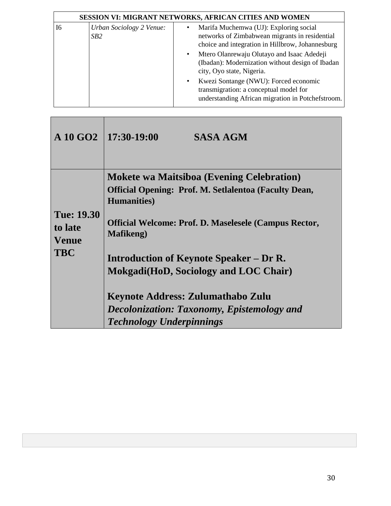| SESSION VI: MIGRANT NETWORKS, AFRICAN CITIES AND WOMEN |                                 |                                                                                                                                                   |
|--------------------------------------------------------|---------------------------------|---------------------------------------------------------------------------------------------------------------------------------------------------|
| 16                                                     | Urban Sociology 2 Venue:<br>SB2 | Marifa Muchemwa (UJ): Exploring social<br>networks of Zimbabwean migrants in residential<br>choice and integration in Hillbrow, Johannesburg      |
|                                                        |                                 | Mtero Olanrewaju Olutayo and Isaac Adedeji<br>$\bullet$<br>(Ibadan): Modernization without design of Ibadan<br>city, Oyo state, Nigeria.          |
|                                                        |                                 | Kwezi Sontange (NWU): Forced economic<br>$\bullet$<br>transmigration: a conceptual model for<br>understanding African migration in Potchefstroom. |

Г

|                                                            | A 10 GO2   $17:30-19:00$<br><b>SASA AGM</b>                                                                                                                                                                                                                                                                                                                                                                                                    |
|------------------------------------------------------------|------------------------------------------------------------------------------------------------------------------------------------------------------------------------------------------------------------------------------------------------------------------------------------------------------------------------------------------------------------------------------------------------------------------------------------------------|
| <b>Tue: 19.30</b><br>to late<br><b>Venue</b><br><b>TBC</b> | <b>Mokete wa Maitsiboa (Evening Celebration)</b><br><b>Official Opening: Prof. M. Setlalentoa (Faculty Dean,</b><br><b>Humanities</b> )<br><b>Official Welcome: Prof. D. Maselesele (Campus Rector,</b><br><b>Mafikeng</b> )<br><b>Introduction of Keynote Speaker – Dr R.</b><br>Mokgadi (HoD, Sociology and LOC Chair)<br>Keynote Address: Zulumathabo Zulu<br>Decolonization: Taxonomy, Epistemology and<br><b>Technology Underpinnings</b> |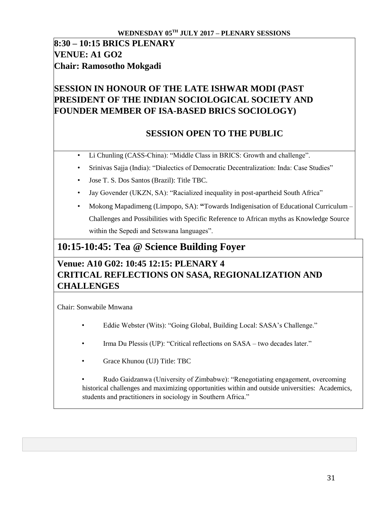## **8:30 – 10:15 BRICS PLENARY VENUE: A1 GO2 Chair: Ramosotho Mokgadi**

## **SESSION IN HONOUR OF THE LATE ISHWAR MODI (PAST PRESIDENT OF THE INDIAN SOCIOLOGICAL SOCIETY AND FOUNDER MEMBER OF ISA-BASED BRICS SOCIOLOGY)**

## **SESSION OPEN TO THE PUBLIC**

- Li Chunling (CASS-China): "Middle Class in BRICS: Growth and challenge".
- Srinivas Sajja (India): "Dialectics of Democratic Decentralization: Inda: Case Studies"
- Jose T. S. Dos Santos (Brazil): Title TBC.
- Jay Govender (UKZN, SA): "Racialized inequality in post-apartheid South Africa"
- Mokong Mapadimeng (Limpopo, SA): **"**Towards Indigenisation of Educational Curriculum Challenges and Possibilities with Specific Reference to African myths as Knowledge Source within the Sepedi and Setswana languages".

## **10:15-10:45: Tea @ Science Building Foyer**

## **Venue: A10 G02: 10:45 12:15: PLENARY 4 CRITICAL REFLECTIONS ON SASA, REGIONALIZATION AND CHALLENGES**

Chair: Sonwabile Mnwana

- Eddie Webster (Wits): "Going Global, Building Local: SASA's Challenge."
- Irma Du Plessis (UP): "Critical reflections on SASA two decades later."
- Grace Khunou (UJ) Title: TBC

• Rudo Gaidzanwa (University of Zimbabwe): "Renegotiating engagement, overcoming historical challenges and maximizing opportunities within and outside universities: Academics, students and practitioners in sociology in Southern Africa."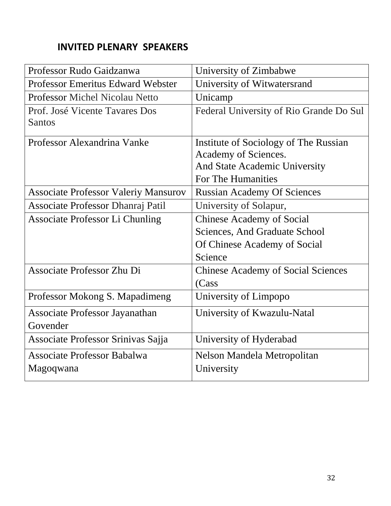## **INVITED PLENARY SPEAKERS**

| Professor Rudo Gaidzanwa                    | University of Zimbabwe                    |
|---------------------------------------------|-------------------------------------------|
| <b>Professor Emeritus Edward Webster</b>    | University of Witwatersrand               |
| <b>Professor Michel Nicolau Netto</b>       | Unicamp                                   |
| Prof. José Vicente Tavares Dos              | Federal University of Rio Grande Do Sul   |
| Santos                                      |                                           |
| Professor Alexandrina Vanke                 | Institute of Sociology of The Russian     |
|                                             | Academy of Sciences.                      |
|                                             | And State Academic University             |
|                                             | For The Humanities                        |
| <b>Associate Professor Valeriy Mansurov</b> | <b>Russian Academy Of Sciences</b>        |
| Associate Professor Dhanraj Patil           | University of Solapur,                    |
| Associate Professor Li Chunling             | <b>Chinese Academy of Social</b>          |
|                                             | Sciences, And Graduate School             |
|                                             | Of Chinese Academy of Social              |
|                                             | Science                                   |
| Associate Professor Zhu Di                  | <b>Chinese Academy of Social Sciences</b> |
|                                             | (Cass                                     |
| Professor Mokong S. Mapadimeng              | University of Limpopo                     |
| <b>Associate Professor Jayanathan</b>       | University of Kwazulu-Natal               |
| Govender                                    |                                           |
| Associate Professor Srinivas Sajja          | University of Hyderabad                   |
| <b>Associate Professor Babalwa</b>          | Nelson Mandela Metropolitan               |
| Magoqwana                                   | University                                |
|                                             |                                           |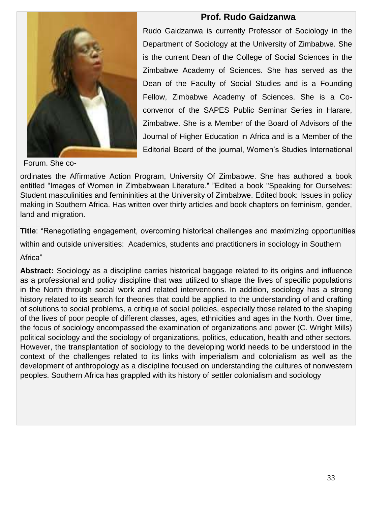

## **Prof. Rudo Gaidzanwa**

Rudo Gaidzanwa is currently Professor of Sociology in the Department of Sociology at the University of Zimbabwe. She is the current Dean of the College of Social Sciences in the Zimbabwe Academy of Sciences. She has served as the Dean of the Faculty of Social Studies and is a Founding Fellow, Zimbabwe Academy of Sciences. She is a Coconvenor of the SAPES Public Seminar Series in Harare, Zimbabwe. She is a Member of the Board of Advisors of the Journal of Higher Education in Africa and is a Member of the Editorial Board of the journal, Women's Studies International

Forum. She co-

ordinates the Affirmative Action Program, University Of Zimbabwe. She has authored a book entitled "Images of Women in Zimbabwean Literature." "Edited a book "Speaking for Ourselves: Student masculinities and femininities at the University of Zimbabwe. Edited book: Issues in policy making in Southern Africa. Has written over thirty articles and book chapters on feminism, gender, land and migration.

**Title**: "Renegotiating engagement, overcoming historical challenges and maximizing opportunities within and outside universities: Academics, students and practitioners in sociology in Southern

Africa"

**Abstract:** Sociology as a discipline carries historical baggage related to its origins and influence as a professional and policy discipline that was utilized to shape the lives of specific populations in the North through social work and related interventions. In addition, sociology has a strong history related to its search for theories that could be applied to the understanding of and crafting of solutions to social problems, a critique of social policies, especially those related to the shaping of the lives of poor people of different classes, ages, ethnicities and ages in the North. Over time, the focus of sociology encompassed the examination of organizations and power (C. Wright Mills) political sociology and the sociology of organizations, politics, education, health and other sectors. However, the transplantation of sociology to the developing world needs to be understood in the context of the challenges related to its links with imperialism and colonialism as well as the development of anthropology as a discipline focused on understanding the cultures of nonwestern peoples. Southern Africa has grappled with its history of settler colonialism and sociology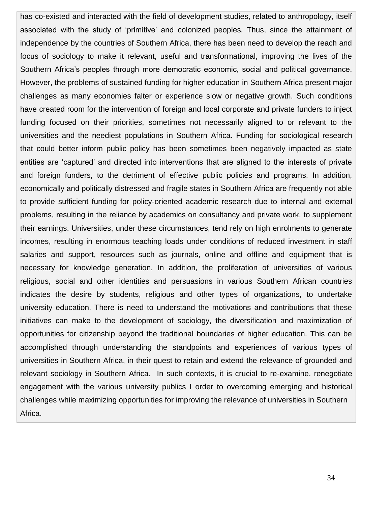has co-existed and interacted with the field of development studies, related to anthropology, itself associated with the study of 'primitive' and colonized peoples. Thus, since the attainment of independence by the countries of Southern Africa, there has been need to develop the reach and focus of sociology to make it relevant, useful and transformational, improving the lives of the Southern Africa's peoples through more democratic economic, social and political governance. However, the problems of sustained funding for higher education in Southern Africa present major challenges as many economies falter or experience slow or negative growth. Such conditions have created room for the intervention of foreign and local corporate and private funders to inject funding focused on their priorities, sometimes not necessarily aligned to or relevant to the universities and the neediest populations in Southern Africa. Funding for sociological research that could better inform public policy has been sometimes been negatively impacted as state entities are 'captured' and directed into interventions that are aligned to the interests of private and foreign funders, to the detriment of effective public policies and programs. In addition, economically and politically distressed and fragile states in Southern Africa are frequently not able to provide sufficient funding for policy-oriented academic research due to internal and external problems, resulting in the reliance by academics on consultancy and private work, to supplement their earnings. Universities, under these circumstances, tend rely on high enrolments to generate incomes, resulting in enormous teaching loads under conditions of reduced investment in staff salaries and support, resources such as journals, online and offline and equipment that is necessary for knowledge generation. In addition, the proliferation of universities of various religious, social and other identities and persuasions in various Southern African countries indicates the desire by students, religious and other types of organizations, to undertake university education. There is need to understand the motivations and contributions that these initiatives can make to the development of sociology, the diversification and maximization of opportunities for citizenship beyond the traditional boundaries of higher education. This can be accomplished through understanding the standpoints and experiences of various types of universities in Southern Africa, in their quest to retain and extend the relevance of grounded and relevant sociology in Southern Africa. In such contexts, it is crucial to re-examine, renegotiate engagement with the various university publics I order to overcoming emerging and historical challenges while maximizing opportunities for improving the relevance of universities in Southern Africa.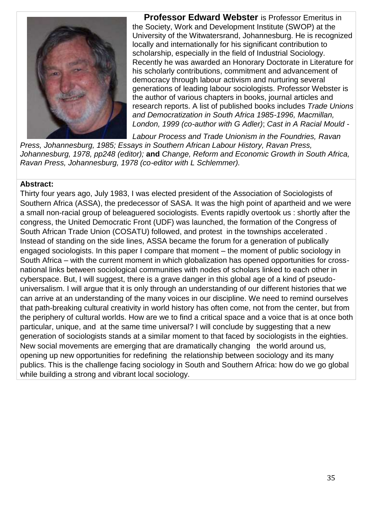

**Professor Edward Webster** is Professor Emeritus in the Society, Work and Development Institute (SWOP) at the University of the Witwatersrand, Johannesburg. He is recognized locally and internationally for his significant contribution to scholarship, especially in the field of Industrial Sociology. Recently he was awarded an Honorary Doctorate in Literature for his scholarly contributions, commitment and advancement of democracy through labour activism and nurturing several generations of leading labour sociologists. Professor Webster is the author of various chapters in books, journal articles and research reports. A list of published books includes *Trade Unions and Democratization in South Africa 1985-1996, Macmillan, London, 1999 (co-author with G Adler)*; *Cast in A Racial Mould -*

*Labour Process and Trade Unionism in the Foundries, Ravan Press, Johannesburg, 1985; Essays in Southern African Labour History, Ravan Press, Johannesburg, 1978, pp248 (editor);* **and** *Change, Reform and Economic Growth in South Africa, Ravan Press, Johannesburg, 1978 (co-editor with L Schlemmer).*

#### **Abstract:**

Thirty four years ago, July 1983, I was elected president of the Association of Sociologists of Southern Africa (ASSA), the predecessor of SASA. It was the high point of apartheid and we were a small non-racial group of beleaguered sociologists. Events rapidly overtook us : shortly after the congress, the United Democratic Front (UDF) was launched, the formation of the Congress of South African Trade Union (COSATU) followed, and protest in the townships accelerated . Instead of standing on the side lines, ASSA became the forum for a generation of publically engaged sociologists. In this paper I compare that moment – the moment of public sociology in South Africa – with the current moment in which globalization has opened opportunities for crossnational links between sociological communities with nodes of scholars linked to each other in cyberspace. But, I will suggest, there is a grave danger in this global age of a kind of pseudouniversalism. I will argue that it is only through an understanding of our different histories that we can arrive at an understanding of the many voices in our discipline. We need to remind ourselves that path-breaking cultural creativity in world history has often come, not from the center, but from the periphery of cultural worlds. How are we to find a critical space and a voice that is at once both particular, unique, and at the same time universal? I will conclude by suggesting that a new generation of sociologists stands at a similar moment to that faced by sociologists in the eighties. New social movements are emerging that are dramatically changing the world around us, opening up new opportunities for redefining the relationship between sociology and its many publics. This is the challenge facing sociology in South and Southern Africa: how do we go global while building a strong and vibrant local sociology.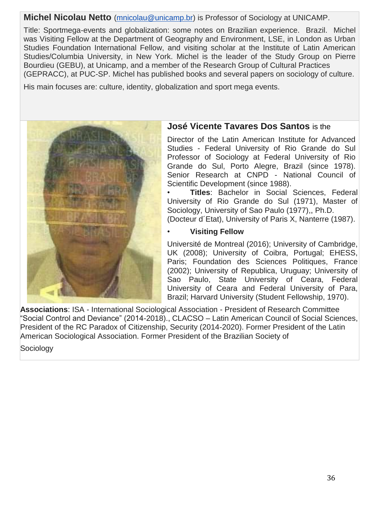## **Michel Nicolau Netto** (mnicolau@unicamp.br) is Professor of Sociology at UNICAMP.

Title: Sportmega-events and globalization: some notes on Brazilian experience. Brazil. Michel was Visiting Fellow at the Department of Geography and Environment, LSE, in London as Urban Studies Foundation International Fellow, and visiting scholar at the Institute of Latin American Studies/Columbia University, in New York. Michel is the leader of the Study Group on Pierre Bourdieu (GEBU), at Unicamp, and a member of the Research Group of Cultural Practices (GEPRACC), at PUC-SP. Michel has published books and several papers on sociology of culture.

His main focuses are: culture, identity, globalization and sport mega events.



## **José Vicente Tavares Dos Santos** is the

Director of the Latin American Institute for Advanced Studies - Federal University of Rio Grande do Sul Professor of Sociology at Federal University of Rio Grande do Sul, Porto Alegre, Brazil (since 1978). Senior Research at CNPD - National Council of Scientific Development (since 1988).

• **Titles**: Bachelor in Social Sciences, Federal University of Rio Grande do Sul (1971), Master of Sociology, University of Sao Paulo (1977),, Ph.D.

(Docteur d´Etat), University of Paris X, Nanterre (1987).

#### • **Visiting Fellow**

Université de Montreal (2016); University of Cambridge, UK (2008); University of Coibra, Portugal; EHESS, Paris; Foundation des Sciences Politiques, France (2002); University of Republica, Uruguay; University of Sao Paulo, State University of Ceara, Federal University of Ceara and Federal University of Para, Brazil; Harvard University (Student Fellowship, 1970).

**Associations**: ISA - International Sociological Association - President of Research Committee "Social Control and Deviance" (2014-2018)., CLACSO – Latin American Council of Social Sciences, President of the RC Paradox of Citizenship, Security (2014-2020). Former President of the Latin American Sociological Association. Former President of the Brazilian Society of

Sociology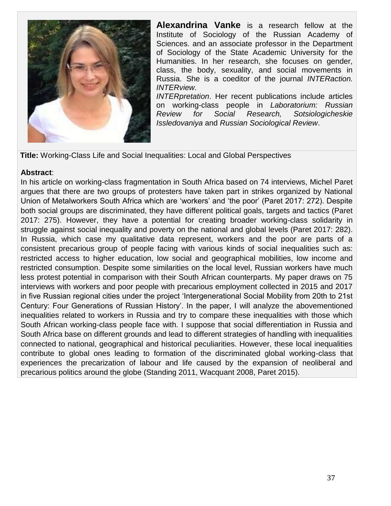

**Alexandrina Vanke** is a research fellow at the Institute of Sociology of the Russian Academy of Sciences. and an associate professor in the Department of Sociology of the State Academic University for the Humanities. In her research, she focuses on gender, class, the body, sexuality, and social movements in Russia. She is a coeditor of the journal *INTERaction. INTERview.* 

*INTERpretation*. Her recent publications include articles on working-class people in *Laboratorium: Russian Review for Social Research, Sotsiologicheskie Issledovaniya* and *Russian Sociological Review*.

**Title:** Working-Class Life and Social Inequalities: Local and Global Perspectives

#### **Abstract**:

In his article on working-class fragmentation in South Africa based on 74 interviews, Michel Paret argues that there are two groups of protesters have taken part in strikes organized by National Union of Metalworkers South Africa which are 'workers' and 'the poor' (Paret 2017: 272). Despite both social groups are discriminated, they have different political goals, targets and tactics (Paret 2017: 275). However, they have a potential for creating broader working-class solidarity in struggle against social inequality and poverty on the national and global levels (Paret 2017: 282). In Russia, which case my qualitative data represent, workers and the poor are parts of a consistent precarious group of people facing with various kinds of social inequalities such as: restricted access to higher education, low social and geographical mobilities, low income and restricted consumption. Despite some similarities on the local level, Russian workers have much less protest potential in comparison with their South African counterparts. My paper draws on 75 interviews with workers and poor people with precarious employment collected in 2015 and 2017 in five Russian regional cities under the project 'Intergenerational Social Mobility from 20th to 21st Century: Four Generations of Russian History'. In the paper, I will analyze the abovementioned inequalities related to workers in Russia and try to compare these inequalities with those which South African working-class people face with. I suppose that social differentiation in Russia and South Africa base on different grounds and lead to different strategies of handling with inequalities connected to national, geographical and historical peculiarities. However, these local inequalities contribute to global ones leading to formation of the discriminated global working-class that experiences the precarization of labour and life caused by the expansion of neoliberal and precarious politics around the globe (Standing 2011, Wacquant 2008, Paret 2015).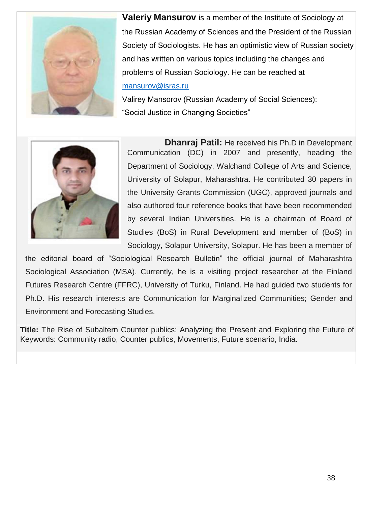

**Valeriy Mansurov** is a member of the Institute of Sociology at the Russian Academy of Sciences and the President of the Russian Society of Sociologists. He has an optimistic view of Russian society and has written on various topics including the changes and problems of Russian Sociology. He can be reached at [mansurov@isras.ru](mailto:mansurov@isras.ru)

Valirey Mansorov (Russian Academy of Social Sciences): "Social Justice in Changing Societies"



**Dhanraj Patil:** He received his Ph.D in Development Communication (DC) in 2007 and presently, heading the Department of Sociology, Walchand College of Arts and Science, University of Solapur, Maharashtra. He contributed 30 papers in the University Grants Commission (UGC), approved journals and also authored four reference books that have been recommended by several Indian Universities. He is a chairman of Board of Studies (BoS) in Rural Development and member of (BoS) in Sociology, Solapur University, Solapur. He has been a member of

the editorial board of "Sociological Research Bulletin" the official journal of Maharashtra Sociological Association (MSA). Currently, he is a visiting project researcher at the Finland Futures Research Centre (FFRC), University of Turku, Finland. He had guided two students for Ph.D. His research interests are Communication for Marginalized Communities; Gender and Environment and Forecasting Studies.

**Title:** The Rise of Subaltern Counter publics: Analyzing the Present and Exploring the Future of Keywords: Community radio, Counter publics, Movements, Future scenario, India.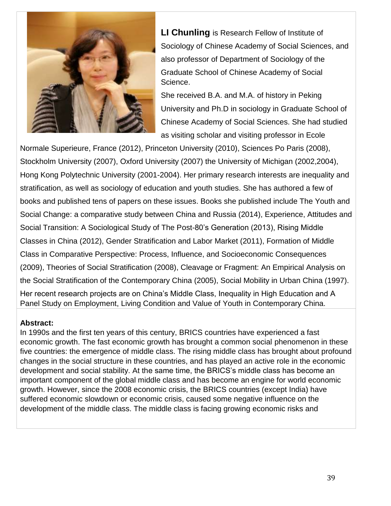

**LI Chunling** is Research Fellow of Institute of Sociology of Chinese Academy of Social Sciences, and also professor of Department of Sociology of the Graduate School of Chinese Academy of Social Science.

She received B.A. and M.A. of history in Peking University and Ph.D in sociology in Graduate School of Chinese Academy of Social Sciences. She had studied as visiting scholar and visiting professor in Ecole

Normale Superieure, France (2012), Princeton University (2010), Sciences Po Paris (2008), Stockholm University (2007), Oxford University (2007) the University of Michigan (2002,2004), Hong Kong Polytechnic University (2001-2004). Her primary research interests are inequality and stratification, as well as sociology of education and youth studies. She has authored a few of books and published tens of papers on these issues. Books she published include The Youth and Social Change: a comparative study between China and Russia (2014), Experience, Attitudes and Social Transition: A Sociological Study of The Post-80's Generation (2013), Rising Middle Classes in China (2012), Gender Stratification and Labor Market (2011), Formation of Middle Class in Comparative Perspective: Process, Influence, and Socioeconomic Consequences (2009), Theories of Social Stratification (2008), Cleavage or Fragment: An Empirical Analysis on the Social Stratification of the Contemporary China (2005), Social Mobility in Urban China (1997). Her recent research projects are on China's Middle Class, Inequality in High Education and A Panel Study on Employment, Living Condition and Value of Youth in Contemporary China.

#### **Abstract:**

In 1990s and the first ten years of this century, BRICS countries have experienced a fast economic growth. The fast economic growth has brought a common social phenomenon in these five countries: the emergence of middle class. The rising middle class has brought about profound changes in the social structure in these countries, and has played an active role in the economic development and social stability. At the same time, the BRICS's middle class has become an important component of the global middle class and has become an engine for world economic growth. However, since the 2008 economic crisis, the BRICS countries (except India) have suffered economic slowdown or economic crisis, caused some negative influence on the development of the middle class. The middle class is facing growing economic risks and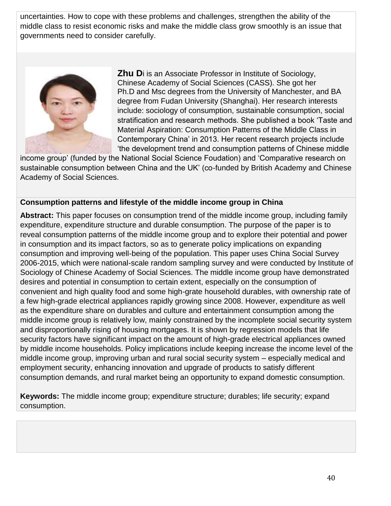uncertainties. How to cope with these problems and challenges, strengthen the ability of the middle class to resist economic risks and make the middle class grow smoothly is an issue that governments need to consider carefully.



**Zhu D**i is an Associate Professor in Institute of Sociology, Chinese Academy of Social Sciences (CASS). She got her Ph.D and Msc degrees from the University of Manchester, and BA degree from Fudan University (Shanghai). Her research interests include: sociology of consumption, sustainable consumption, social stratification and research methods. She published a book 'Taste and Material Aspiration: Consumption Patterns of the Middle Class in Contemporary China' in 2013. Her recent research projects include 'the development trend and consumption patterns of Chinese middle

income group' (funded by the National Social Science Foudation) and 'Comparative research on sustainable consumption between China and the UK' (co-funded by British Academy and Chinese Academy of Social Sciences.

## **Consumption patterns and lifestyle of the middle income group in China**

**Abstract:** This paper focuses on consumption trend of the middle income group, including family expenditure, expenditure structure and durable consumption. The purpose of the paper is to reveal consumption patterns of the middle income group and to explore their potential and power in consumption and its impact factors, so as to generate policy implications on expanding consumption and improving well-being of the population. This paper uses China Social Survey 2006-2015, which were national-scale random sampling survey and were conducted by Institute of Sociology of Chinese Academy of Social Sciences. The middle income group have demonstrated desires and potential in consumption to certain extent, especially on the consumption of convenient and high quality food and some high-grate household durables, with ownership rate of a few high-grade electrical appliances rapidly growing since 2008. However, expenditure as well as the expenditure share on durables and culture and entertainment consumption among the middle income group is relatively low, mainly constrained by the incomplete social security system and disproportionally rising of housing mortgages. It is shown by regression models that life security factors have significant impact on the amount of high-grade electrical appliances owned by middle income households. Policy implications include keeping increase the income level of the middle income group, improving urban and rural social security system – especially medical and employment security, enhancing innovation and upgrade of products to satisfy different consumption demands, and rural market being an opportunity to expand domestic consumption.

**Keywords:** The middle income group; expenditure structure; durables; life security; expand consumption.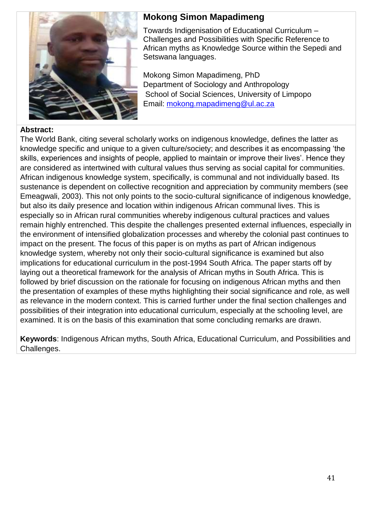

## **Mokong Simon Mapadimeng**

Towards Indigenisation of Educational Curriculum – Challenges and Possibilities with Specific Reference to African myths as Knowledge Source within the Sepedi and Setswana languages.

Mokong Simon Mapadimeng, PhD Department of Sociology and Anthropology School of Social Sciences, University of Limpopo Email: mokong.mapadimeng@ul.ac.za

#### **Abstract:**

The World Bank, citing several scholarly works on indigenous knowledge, defines the latter as knowledge specific and unique to a given culture/society; and describes it as encompassing 'the skills, experiences and insights of people, applied to maintain or improve their lives'. Hence they are considered as intertwined with cultural values thus serving as social capital for communities. African indigenous knowledge system, specifically, is communal and not individually based. Its sustenance is dependent on collective recognition and appreciation by community members (see Emeagwali, 2003). This not only points to the socio-cultural significance of indigenous knowledge, but also its daily presence and location within indigenous African communal lives. This is especially so in African rural communities whereby indigenous cultural practices and values remain highly entrenched. This despite the challenges presented external influences, especially in the environment of intensified globalization processes and whereby the colonial past continues to impact on the present. The focus of this paper is on myths as part of African indigenous knowledge system, whereby not only their socio-cultural significance is examined but also implications for educational curriculum in the post-1994 South Africa. The paper starts off by laying out a theoretical framework for the analysis of African myths in South Africa. This is followed by brief discussion on the rationale for focusing on indigenous African myths and then the presentation of examples of these myths highlighting their social significance and role, as well as relevance in the modern context. This is carried further under the final section challenges and possibilities of their integration into educational curriculum, especially at the schooling level, are examined. It is on the basis of this examination that some concluding remarks are drawn.

**Keywords**: Indigenous African myths, South Africa, Educational Curriculum, and Possibilities and Challenges.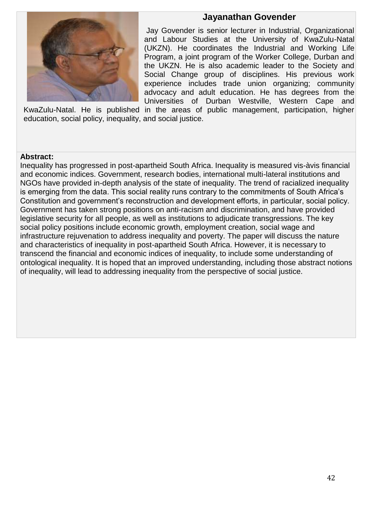## **Jayanathan Govender**



Jay Govender is senior lecturer in Industrial, Organizational and Labour Studies at the University of KwaZulu-Natal (UKZN). He coordinates the Industrial and Working Life Program, a joint program of the Worker College, Durban and the UKZN. He is also academic leader to the Society and Social Change group of disciplines. His previous work experience includes trade union organizing; community advocacy and adult education. He has degrees from the Universities of Durban Westville, Western Cape and

KwaZulu-Natal. He is published in the areas of public management, participation, higher education, social policy, inequality, and social justice.

#### **Abstract:**

Inequality has progressed in post-apartheid South Africa. Inequality is measured vis-àvis financial and economic indices. Government, research bodies, international multi-lateral institutions and NGOs have provided in-depth analysis of the state of inequality. The trend of racialized inequality is emerging from the data. This social reality runs contrary to the commitments of South Africa's Constitution and government's reconstruction and development efforts, in particular, social policy. Government has taken strong positions on anti-racism and discrimination, and have provided legislative security for all people, as well as institutions to adjudicate transgressions. The key social policy positions include economic growth, employment creation, social wage and infrastructure rejuvenation to address inequality and poverty. The paper will discuss the nature and characteristics of inequality in post-apartheid South Africa. However, it is necessary to transcend the financial and economic indices of inequality, to include some understanding of ontological inequality. It is hoped that an improved understanding, including those abstract notions of inequality, will lead to addressing inequality from the perspective of social justice.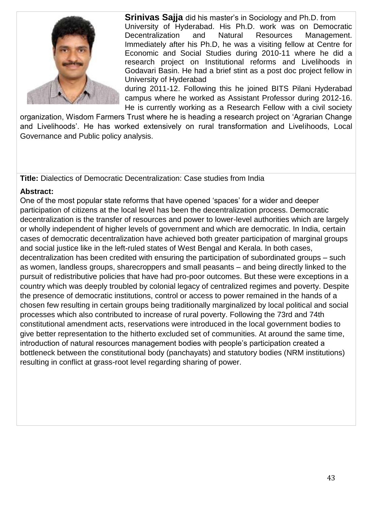

**Srinivas Sajja** did his master's in Sociology and Ph.D. from University of Hyderabad. His Ph.D. work was on Democratic Decentralization and Natural Resources Management. Immediately after his Ph.D, he was a visiting fellow at Centre for Economic and Social Studies during 2010-11 where he did a research project on Institutional reforms and Livelihoods in Godavari Basin. He had a brief stint as a post doc project fellow in University of Hyderabad

during 2011-12. Following this he joined BITS Pilani Hyderabad campus where he worked as Assistant Professor during 2012-16. He is currently working as a Research Fellow with a civil society

organization, Wisdom Farmers Trust where he is heading a research project on 'Agrarian Change and Livelihoods'. He has worked extensively on rural transformation and Livelihoods, Local Governance and Public policy analysis.

**Title:** Dialectics of Democratic Decentralization: Case studies from India

## **Abstract:**

One of the most popular state reforms that have opened 'spaces' for a wider and deeper participation of citizens at the local level has been the decentralization process. Democratic decentralization is the transfer of resources and power to lower-level authorities which are largely or wholly independent of higher levels of government and which are democratic. In India, certain cases of democratic decentralization have achieved both greater participation of marginal groups and social justice like in the left-ruled states of West Bengal and Kerala. In both cases, decentralization has been credited with ensuring the participation of subordinated groups – such as women, landless groups, sharecroppers and small peasants – and being directly linked to the pursuit of redistributive policies that have had pro-poor outcomes. But these were exceptions in a country which was deeply troubled by colonial legacy of centralized regimes and poverty. Despite the presence of democratic institutions, control or access to power remained in the hands of a chosen few resulting in certain groups being traditionally marginalized by local political and social processes which also contributed to increase of rural poverty. Following the 73rd and 74th constitutional amendment acts, reservations were introduced in the local government bodies to give better representation to the hitherto excluded set of communities. At around the same time, introduction of natural resources management bodies with people's participation created a bottleneck between the constitutional body (panchayats) and statutory bodies (NRM institutions) resulting in conflict at grass-root level regarding sharing of power.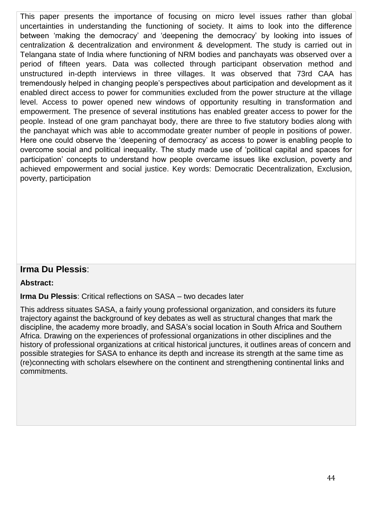This paper presents the importance of focusing on micro level issues rather than global uncertainties in understanding the functioning of society. It aims to look into the difference between 'making the democracy' and 'deepening the democracy' by looking into issues of centralization & decentralization and environment & development. The study is carried out in Telangana state of India where functioning of NRM bodies and panchayats was observed over a period of fifteen years. Data was collected through participant observation method and unstructured in-depth interviews in three villages. It was observed that 73rd CAA has tremendously helped in changing people's perspectives about participation and development as it enabled direct access to power for communities excluded from the power structure at the village level. Access to power opened new windows of opportunity resulting in transformation and empowerment. The presence of several institutions has enabled greater access to power for the people. Instead of one gram panchayat body, there are three to five statutory bodies along with the panchayat which was able to accommodate greater number of people in positions of power. Here one could observe the 'deepening of democracy' as access to power is enabling people to overcome social and political inequality. The study made use of 'political capital and spaces for participation' concepts to understand how people overcame issues like exclusion, poverty and achieved empowerment and social justice. Key words: Democratic Decentralization, Exclusion, poverty, participation

## **Irma Du Plessis**:

#### **Abstract:**

#### **Irma Du Plessis**: Critical reflections on SASA – two decades later

This address situates SASA, a fairly young professional organization, and considers its future trajectory against the background of key debates as well as structural changes that mark the discipline, the academy more broadly, and SASA's social location in South Africa and Southern Africa. Drawing on the experiences of professional organizations in other disciplines and the history of professional organizations at critical historical junctures, it outlines areas of concern and possible strategies for SASA to enhance its depth and increase its strength at the same time as (re)connecting with scholars elsewhere on the continent and strengthening continental links and commitments.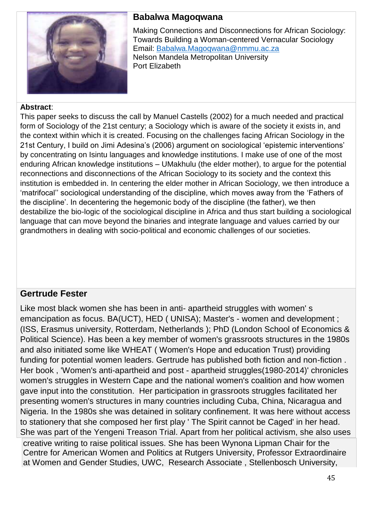

## **Babalwa Magoqwana**

Making Connections and Disconnections for African Sociology: Towards Building a Woman-centered Vernacular Sociology Email: [Babalwa.Magoqwana@nmmu.ac.za](mailto:Babalwa.Magoqwana@nmmu.ac.za) Nelson Mandela Metropolitan University Port Elizabeth

#### **Abstract**:

This paper seeks to discuss the call by Manuel Castells (2002) for a much needed and practical form of Sociology of the 21st century; a Sociology which is aware of the society it exists in, and the context within which it is created. Focusing on the challenges facing African Sociology in the 21st Century, I build on Jimi Adesina's (2006) argument on sociological 'epistemic interventions' by concentrating on Isintu languages and knowledge institutions. I make use of one of the most enduring African knowledge institutions – UMakhulu (the elder mother), to argue for the potential reconnections and disconnections of the African Sociology to its society and the context this institution is embedded in. In centering the elder mother in African Sociology, we then introduce a 'matrifocal'' sociological understanding of the discipline, which moves away from the 'Fathers of the discipline'. In decentering the hegemonic body of the discipline (the father), we then destabilize the bio-logic of the sociological discipline in Africa and thus start building a sociological language that can move beyond the binaries and integrate language and values carried by our grandmothers in dealing with socio-political and economic challenges of our societies.

## **Gertrude Fester**

Like most black women she has been in anti- apartheid struggles with women' s emancipation as focus. BA(UCT), HED ( UNISA); Master's - women and development ; (ISS, Erasmus university, Rotterdam, Netherlands ); PhD (London School of Economics & Political Science). Has been a key member of women's grassroots structures in the 1980s and also initiated some like WHEAT ( Women's Hope and education Trust) providing funding for potential women leaders. Gertrude has published both fiction and non-fiction . Her book , 'Women's anti-apartheid and post - apartheid struggles(1980-2014)' chronicles women's struggles in Western Cape and the national women's coalition and how women gave input into the constitution. Her participation in grassroots struggles facilitated her presenting women's structures in many countries including Cuba, China, Nicaragua and Nigeria. In the 1980s she was detained in solitary confinement. It was here without access to stationery that she composed her first play ' The Spirit cannot be Caged' in her head. She was part of the Yengeni Treason Trial. Apart from her political activism, she also uses creative writing to raise political issues. She has been Wynona Lipman Chair for the Centre for American Women and Politics at Rutgers University, Professor Extraordinaire at Women and Gender Studies, UWC, Research Associate , Stellenbosch University,